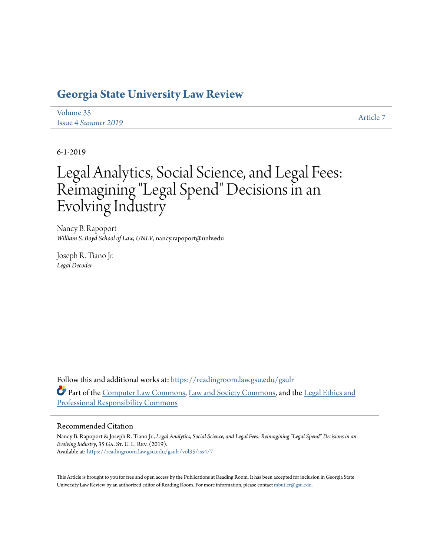# **[Georgia State University Law Review](https://readingroom.law.gsu.edu/gsulr?utm_source=readingroom.law.gsu.edu%2Fgsulr%2Fvol35%2Fiss4%2F7&utm_medium=PDF&utm_campaign=PDFCoverPages)**

| Volume 35                  | <b>Article 7</b> |
|----------------------------|------------------|
| <b>Issue 4 Summer 2019</b> |                  |

6-1-2019

# Legal Analytics, Social Science, and Legal Fees: Reimagining "Legal Spend" Decisions in an Evolving Industry

Nancy B. Rapoport *William S. Boyd School of Law, UNLV*, nancy.rapoport@unlv.edu

Joseph R. Tiano Jr. *Legal Decoder*

Follow this and additional works at: [https://readingroom.law.gsu.edu/gsulr](https://readingroom.law.gsu.edu/gsulr?utm_source=readingroom.law.gsu.edu%2Fgsulr%2Fvol35%2Fiss4%2F7&utm_medium=PDF&utm_campaign=PDFCoverPages) Part of the [Computer Law Commons,](http://network.bepress.com/hgg/discipline/837?utm_source=readingroom.law.gsu.edu%2Fgsulr%2Fvol35%2Fiss4%2F7&utm_medium=PDF&utm_campaign=PDFCoverPages) [Law and Society Commons](http://network.bepress.com/hgg/discipline/853?utm_source=readingroom.law.gsu.edu%2Fgsulr%2Fvol35%2Fiss4%2F7&utm_medium=PDF&utm_campaign=PDFCoverPages), and the [Legal Ethics and](http://network.bepress.com/hgg/discipline/895?utm_source=readingroom.law.gsu.edu%2Fgsulr%2Fvol35%2Fiss4%2F7&utm_medium=PDF&utm_campaign=PDFCoverPages) [Professional Responsibility Commons](http://network.bepress.com/hgg/discipline/895?utm_source=readingroom.law.gsu.edu%2Fgsulr%2Fvol35%2Fiss4%2F7&utm_medium=PDF&utm_campaign=PDFCoverPages)

# Recommended Citation

Nancy B. Rapoport & Joseph R. Tiano Jr., *Legal Analytics, Social Science, and Legal Fees: Reimagining "Legal Spend" Decisions in an Evolving Industry*, 35 Ga. St. U. L. Rev. (2019). Available at: [https://readingroom.law.gsu.edu/gsulr/vol35/iss4/7](https://readingroom.law.gsu.edu/gsulr/vol35/iss4/7?utm_source=readingroom.law.gsu.edu%2Fgsulr%2Fvol35%2Fiss4%2F7&utm_medium=PDF&utm_campaign=PDFCoverPages)

This Article is brought to you for free and open access by the Publications at Reading Room. It has been accepted for inclusion in Georgia State University Law Review by an authorized editor of Reading Room. For more information, please contact [mbutler@gsu.edu.](mailto:mbutler@gsu.edu)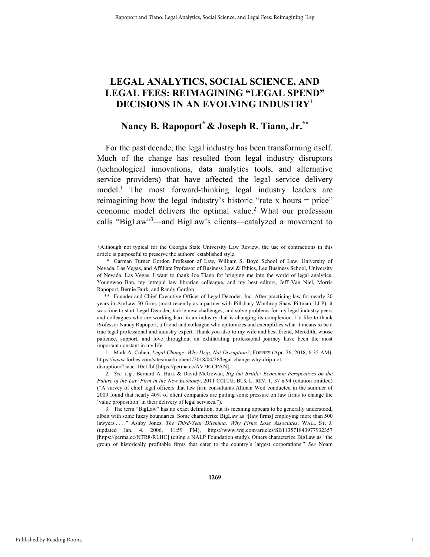# **LEGAL ANALYTICS, SOCIAL SCIENCE, AND LEGAL FEES: REIMAGINING "LEGAL SPEND" DECISIONS IN AN EVOLVING INDUSTRY<sup>+</sup>**

# **Nancy B. Rapoport\* & Joseph R. Tiano, Jr.\*\***

For the past decade, the legal industry has been transforming itself. Much of the change has resulted from legal industry disruptors (technological innovations, data analytics tools, and alternative service providers) that have affected the legal service delivery model.<sup>1</sup> The most forward-thinking legal industry leaders are reimagining how the legal industry's historic "rate x hours = price" economic model delivers the optimal value.<sup>2</sup> What our profession calls "BigLaw"<sup>3</sup>—and BigLaw's clients—catalyzed a movement to

 1. Mark A. Cohen, *Legal Change: Why Drip, Not Disruption?*, FORBES (Apr. 26, 2018, 6:35 AM), https://www.forbes.com/sites/markcohen1/2018/04/26/legal-change-why-drip-notdisruption/#5aac110c1fbf [https://perma.cc/AV7R-CPAN].

 3. The term "BigLaw" has no exact definition, but its meaning appears to be generally understood, albeit with some fuzzy boundaries. Some characterize BigLaw as "[law firms] employing more than 500 lawyers . . . ." Ashby Jones, *The Third-Year Dilemma: Why Firms Lose Associates*, WALL ST. J. (updated Jan. 4, 2006, 11:59 PM), https://www.wsj.com/articles/SB113571843977932357 [https://perma.cc/NTR8-RLHC] (citing a NALP Foundation study). Others characterize BigLaw as "the group of historically profitable firms that cater to the country's largest corporations." *See* Noam

1

 <sup>+</sup>Although not typical for the Georgia State University Law Review, the use of contractions in this article is purposeful to preserve the authors' established style.

<sup>\*</sup> Garman Turner Gordon Professor of Law, William S. Boyd School of Law, University of Nevada, Las Vegas, and Affiliate Professor of Business Law & Ethics, Lee Business School, University of Nevada, Las Vegas. I want to thank Joe Tiano for bringing me into the world of legal analytics, Youngwoo Ban, my intrepid law librarian colleague, and my best editors, Jeff Van Niel, Morris Rapoport, Bernie Burk, and Randy Gordon

<sup>\*\*</sup> Founder and Chief Executive Officer of Legal Decoder, Inc. After practicing law for nearly 20 years in AmLaw 50 firms (most recently as a partner with Pillsbury Winthrop Shaw Pittman, LLP), it was time to start Legal Decoder, tackle new challenges, and solve problems for my legal industry peers and colleagues who are working hard in an industry that is changing its complexion. I'd like to thank Professor Nancy Rapoport, a friend and colleague who epitomizes and exemplifies what it means to be a true legal professional and industry expert. Thank you also to my wife and best friend, Meredith, whose patience, support, and love throughout an exhilarating professional journey have been the most important constant in my life

<sup>2</sup>*. See, e.g.*, Bernard A. Burk & David McGowan, *Big but Brittle: Economic Perspectives on the Future of the Law Firm in the New Economy*, 2011 COLUM. BUS. L. REV. 1, 37 n.94 (citation omitted) ("A survey of chief legal officers that law firm consultants Altman Weil conducted in the summer of 2009 found that nearly 40% of client companies are putting some pressure on law firms to change the 'value proposition' in their delivery of legal services.").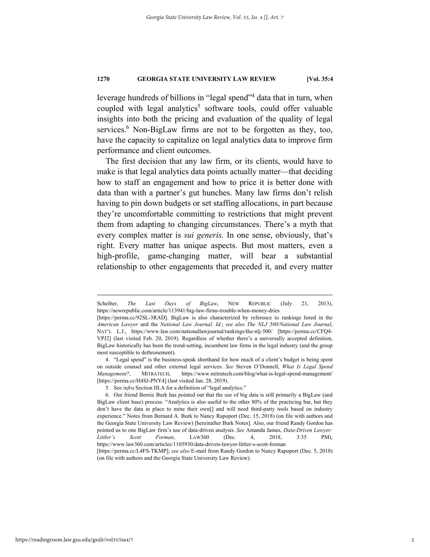leverage hundreds of billions in "legal spend"<sup>4</sup> data that in turn, when coupled with legal analytics<sup>5</sup> software tools, could offer valuable insights into both the pricing and evaluation of the quality of legal services.<sup>6</sup> Non-BigLaw firms are not to be forgotten as they, too, have the capacity to capitalize on legal analytics data to improve firm performance and client outcomes.

The first decision that any law firm, or its clients, would have to make is that legal analytics data points actually matter—that deciding how to staff an engagement and how to price it is better done with data than with a partner's gut hunches. Many law firms don't relish having to pin down budgets or set staffing allocations, in part because they're uncomfortable committing to restrictions that might prevent them from adapting to changing circumstances. There's a myth that every complex matter is *sui generis.* In one sense, obviously, that's right. Every matter has unique aspects. But most matters, even a high-profile, game-changing matter, will bear a substantial relationship to other engagements that preceded it, and every matter

Scheiber, *The Last Days of BigLaw*, NEW REPUBLIC (July 21, 2013), https://newrepublic.com/article/113941/big-law-firms-trouble-when-money-dries

<sup>[</sup>https://perma.cc/92SL-3RAD]. BigLaw is also characterized by reference to rankings listed in the *American Lawyer* and the *National Law Journal*. *Id.*; *see also The NLJ 500/National Law Journal*, NAT'L L.J., https://www.law.com/nationallawjournal/rankings/the-nlj-500/ [https://perma.cc/CFQ4- VPJ2] (last visited Feb. 20, 2019). Regardless of whether there's a universally accepted definition, BigLaw historically has been the trend-setting, incumbent law firms in the legal industry (and the group most susceptible to dethronement).

 <sup>4. &</sup>quot;Legal spend" is the business-speak shorthand for how much of a client's budget is being spent on outside counsel and other external legal services. *See* Steven O'Donnell, *What Is Legal Spend Management?*, MITRATECH, https://www.mitratech.com/blog/what-is-legal-spend-management/ [https://perma.cc/H4SJ-PNY4] (last visited Jan. 28, 2019).

<sup>5</sup>*.* See *infra* Section III.A for a definition of "legal analytics."

 <sup>6.</sup> Our friend Bernie Burk has pointed out that the use of big data is still primarily a BigLaw (and BigLaw client base) process. "Analytics is also useful to the other 80% of the practicing bar, but they don't have the data in place to mine their own[] and will need third-party tools based on industry experience." Notes from Bernard A. Burk to Nancy Rapoport (Dec. 15, 2018) (on file with authors and the Georgia State University Law Review) [hereinafter Burk Notes]. Also, our friend Randy Gordon has pointed us to one BigLaw firm's use of data-driven analysis. *See* Amanda James, *Data-Driven Lawyer: Littler's Scott Forman*, LAW360 (Dec. 4, 2018, 3:35 PM), https://www.law360.com/articles/1105930/data-driven-lawyer-littler-s-scott-forman

<sup>[</sup>https://perma.cc/L4FS-TKMP]; *see also* E-mail from Randy Gordon to Nancy Rapoport (Dec. 5, 2018) (on file with authors and the Georgia State University Law Review).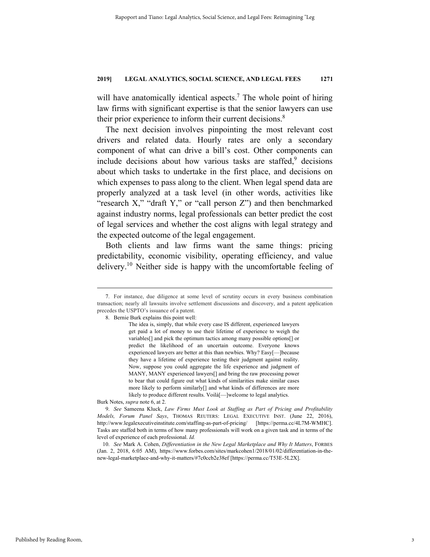will have anatomically identical aspects.<sup>7</sup> The whole point of hiring law firms with significant expertise is that the senior lawyers can use their prior experience to inform their current decisions.<sup>8</sup>

The next decision involves pinpointing the most relevant cost drivers and related data. Hourly rates are only a secondary component of what can drive a bill's cost. Other components can include decisions about how various tasks are staffed,<sup>9</sup> decisions about which tasks to undertake in the first place, and decisions on which expenses to pass along to the client. When legal spend data are properly analyzed at a task level (in other words, activities like "research X," "draft Y," or "call person Z") and then benchmarked against industry norms, legal professionals can better predict the cost of legal services and whether the cost aligns with legal strategy and the expected outcome of the legal engagement.

Both clients and law firms want the same things: pricing predictability, economic visibility, operating efficiency, and value delivery.<sup>10</sup> Neither side is happy with the uncomfortable feeling of

Burk Notes, *supra* note 6, at 2.

 <sup>7.</sup> For instance, due diligence at some level of scrutiny occurs in every business combination transaction; nearly all lawsuits involve settlement discussions and discovery, and a patent application precedes the USPTO's issuance of a patent.

 <sup>8.</sup> Bernie Burk explains this point well:

The idea is, simply, that while every case IS different, experienced lawyers get paid a lot of money to use their lifetime of experience to weigh the variables[] and pick the optimum tactics among many possible options[] or predict the likelihood of an uncertain outcome. Everyone knows experienced lawyers are better at this than newbies. Why? Easy[—]because they have a lifetime of experience testing their judgment against reality. Now, suppose you could aggregate the life experience and judgment of MANY, MANY experienced lawyers[] and bring the raw processing power to bear that could figure out what kinds of similarities make similar cases more likely to perform similarly[] and what kinds of differences are more likely to produce different results. Voilà[—]welcome to legal analytics.

 <sup>9.</sup> *See* Sameena Kluck, *Law Firms Must Look at Staffing as Part of Pricing and Profitability Models, Forum Panel Says*, THOMAS REUTERS: LEGAL EXECUTIVE INST. (June 22, 2016), http://www.legalexecutiveinstitute.com/staffing-as-part-of-pricing/ [https://perma.cc/4L7M-WMHC]. Tasks are staffed both in terms of how many professionals will work on a given task and in terms of the level of experience of each professional. *Id.*

 <sup>10.</sup> *See* Mark A. Cohen, *Differentiation in the New Legal Marketplace and Why It Matters*, FORBES (Jan. 2, 2018, 6:05 AM), https://www.forbes.com/sites/markcohen1/2018/01/02/differentiation-in-thenew-legal-marketplace-and-why-it-matters/#7c0ccb2e38ef [https://perma.cc/T53E-5L2X].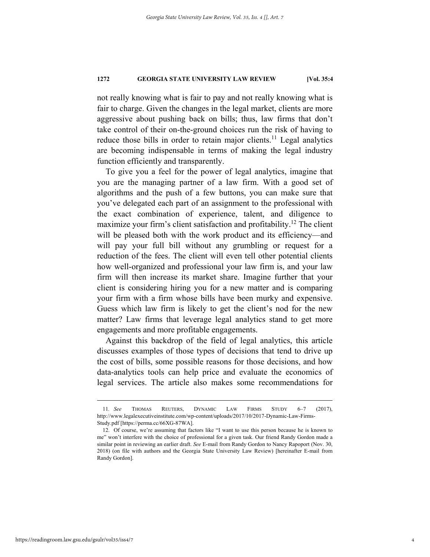not really knowing what is fair to pay and not really knowing what is fair to charge. Given the changes in the legal market, clients are more aggressive about pushing back on bills; thus, law firms that don't take control of their on-the-ground choices run the risk of having to reduce those bills in order to retain major clients.<sup>11</sup> Legal analytics are becoming indispensable in terms of making the legal industry function efficiently and transparently.

To give you a feel for the power of legal analytics, imagine that you are the managing partner of a law firm. With a good set of algorithms and the push of a few buttons, you can make sure that you've delegated each part of an assignment to the professional with the exact combination of experience, talent, and diligence to maximize your firm's client satisfaction and profitability.<sup>12</sup> The client will be pleased both with the work product and its efficiency—and will pay your full bill without any grumbling or request for a reduction of the fees. The client will even tell other potential clients how well-organized and professional your law firm is, and your law firm will then increase its market share. Imagine further that your client is considering hiring you for a new matter and is comparing your firm with a firm whose bills have been murky and expensive. Guess which law firm is likely to get the client's nod for the new matter? Law firms that leverage legal analytics stand to get more engagements and more profitable engagements.

Against this backdrop of the field of legal analytics, this article discusses examples of those types of decisions that tend to drive up the cost of bills, some possible reasons for those decisions, and how data-analytics tools can help price and evaluate the economics of legal services. The article also makes some recommendations for

 <sup>11</sup>*. See* THOMAS REUTERS, DYNAMIC LAW FIRMS STUDY 6–7 (2017), http://www.legalexecutiveinstitute.com/wp-content/uploads/2017/10/2017-Dynamic-Law-Firms-Study.pdf [https://perma.cc/66XG-87WA].

 <sup>12.</sup> Of course, we're assuming that factors like "I want to use this person because he is known to me" won't interfere with the choice of professional for a given task. Our friend Randy Gordon made a similar point in reviewing an earlier draft. *See* E-mail from Randy Gordon to Nancy Rapoport (Nov. 30, 2018) (on file with authors and the Georgia State University Law Review) [hereinafter E-mail from Randy Gordon].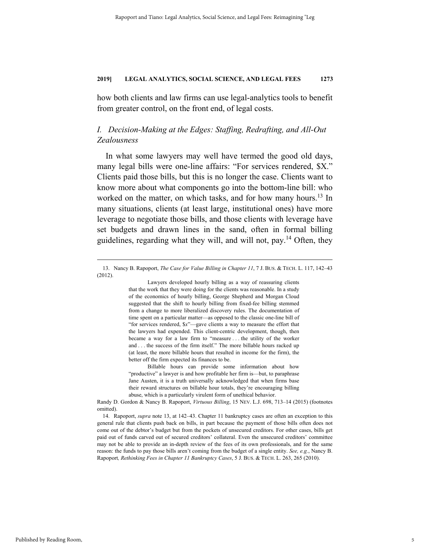how both clients and law firms can use legal-analytics tools to benefit from greater control, on the front end, of legal costs.

# *I. Decision-Making at the Edges: Staffing, Redrafting, and All-Out Zealousness*

In what some lawyers may well have termed the good old days, many legal bills were one-line affairs: "For services rendered, \$X." Clients paid those bills, but this is no longer the case. Clients want to know more about what components go into the bottom-line bill: who worked on the matter, on which tasks, and for how many hours.<sup>13</sup> In many situations, clients (at least large, institutional ones) have more leverage to negotiate those bills, and those clients with leverage have set budgets and drawn lines in the sand, often in formal billing guidelines, regarding what they will, and will not, pay.<sup>14</sup> Often, they

 Lawyers developed hourly billing as a way of reassuring clients that the work that they were doing for the clients was reasonable. In a study of the economics of hourly billing, George Shepherd and Morgan Cloud suggested that the shift to hourly billing from fixed-fee billing stemmed from a change to more liberalized discovery rules. The documentation of time spent on a particular matter—as opposed to the classic one-line bill of "for services rendered, \$*x*"—gave clients a way to measure the effort that the lawyers had expended. This client-centric development, though, then became a way for a law firm to "measure . . . the utility of the worker and . . . the success of the firm itself." The more billable hours racked up (at least, the more billable hours that resulted in income for the firm), the better off the firm expected its finances to be.

 <sup>13.</sup> Nancy B. Rapoport, *The Case for Value Billing in Chapter 11*, 7 J. BUS. & TECH. L. 117, 142–43 (2012).

Billable hours can provide some information about how "productive" a lawyer is and how profitable her firm is—but, to paraphrase Jane Austen, it is a truth universally acknowledged that when firms base their reward structures on billable hour totals, they're encouraging billing abuse, which is a particularly virulent form of unethical behavior.

Randy D. Gordon & Nancy B. Rapoport, *Virtuous Billing*, 15 NEV. L.J. 698, 713–14 (2015) (footnotes omitted).

 <sup>14.</sup> Rapoport, *supra* note 13, at 142–43. Chapter 11 bankruptcy cases are often an exception to this general rule that clients push back on bills, in part because the payment of those bills often does not come out of the debtor's budget but from the pockets of unsecured creditors. For other cases, bills get paid out of funds carved out of secured creditors' collateral. Even the unsecured creditors' committee may not be able to provide an in-depth review of the fees of its own professionals, and for the same reason: the funds to pay those bills aren't coming from the budget of a single entity. *See, e.g.*, Nancy B. Rapoport*, Rethinking Fees in Chapter 11 Bankruptcy Cases*, 5 J. BUS. & TECH. L. 263, 265 (2010).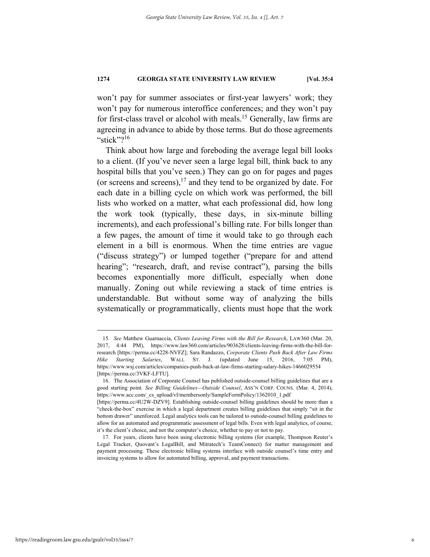won't pay for summer associates or first-year lawyers' work; they won't pay for numerous interoffice conferences; and they won't pay for first-class travel or alcohol with meals.<sup>15</sup> Generally, law firms are agreeing in advance to abide by those terms. But do those agreements "stick"?<sup>16</sup>

Think about how large and foreboding the average legal bill looks to a client. (If you've never seen a large legal bill, think back to any hospital bills that you've seen.) They can go on for pages and pages (or screens and screens), $17$  and they tend to be organized by date. For each date in a billing cycle on which work was performed, the bill lists who worked on a matter, what each professional did, how long the work took (typically, these days, in six-minute billing increments), and each professional's billing rate. For bills longer than a few pages, the amount of time it would take to go through each element in a bill is enormous. When the time entries are vague ("discuss strategy") or lumped together ("prepare for and attend hearing"; "research, draft, and revise contract"), parsing the bills becomes exponentially more difficult, especially when done manually. Zoning out while reviewing a stack of time entries is understandable. But without some way of analyzing the bills systematically or programmatically, clients must hope that the work

 <sup>15</sup>*. See* Matthew Guarnaccia, *Clients Leaving Firms with the Bill for Research*, LAW360 (Mar. 20, 2017, 4:44 PM), https://www.law360.com/articles/903628/clients-leaving-firms-with-the-bill-forresearch [https://perma.cc/4228-NVFZ]; Sara Randazzo, *Corporate Clients Push Back After Law Firms Hike Starting Salaries*, WALL ST. J. (updated June 15, 2016, 7:05 PM), https://www.wsj.com/articles/companies-push-back-at-law-firms-starting-salary-hikes-1466029554 [https://perma.cc/3VKF-LFTU].

 <sup>16.</sup> The Association of Corporate Counsel has published outside-counsel billing guidelines that are a good starting point. *See Billing Guidelines—Outside Counsel*, ASS'N CORP. COUNS. (Mar. 4, 2014), https://www.acc.com/\_cs\_upload/vl/membersonly/SampleFormPolicy/1362010\_1.pdf

<sup>[</sup>https://perma.cc/4U2W-DZV9]. Establishing outside-counsel billing guidelines should be more than a "check-the-box" exercise in which a legal department creates billing guidelines that simply "sit in the bottom drawer" unenforced. Legal analytics tools can be tailored to outside-counsel billing guidelines to allow for an automated and programmatic assessment of legal bills. Even with legal analytics, of course, it's the client's choice, and not the computer's choice, whether to pay or not to pay.

 <sup>17.</sup> For years, clients have been using electronic billing systems (for example, Thompson Reuter's Legal Tracker, Quovant's LegalBill, and Mitratech's TeamConnect) for matter management and payment processing. These electronic billing systems interface with outside counsel's time entry and invoicing systems to allow for automated billing, approval, and payment transactions.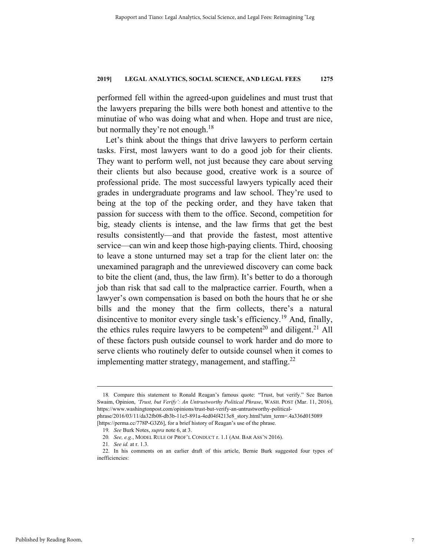performed fell within the agreed-upon guidelines and must trust that the lawyers preparing the bills were both honest and attentive to the minutiae of who was doing what and when. Hope and trust are nice, but normally they're not enough.<sup>18</sup>

Let's think about the things that drive lawyers to perform certain tasks. First, most lawyers want to do a good job for their clients. They want to perform well, not just because they care about serving their clients but also because good, creative work is a source of professional pride. The most successful lawyers typically aced their grades in undergraduate programs and law school. They're used to being at the top of the pecking order, and they have taken that passion for success with them to the office. Second, competition for big, steady clients is intense, and the law firms that get the best results consistently—and that provide the fastest, most attentive service—can win and keep those high-paying clients. Third, choosing to leave a stone unturned may set a trap for the client later on: the unexamined paragraph and the unreviewed discovery can come back to bite the client (and, thus, the law firm). It's better to do a thorough job than risk that sad call to the malpractice carrier. Fourth, when a lawyer's own compensation is based on both the hours that he or she bills and the money that the firm collects, there's a natural disincentive to monitor every single task's efficiency.<sup>19</sup> And, finally, the ethics rules require lawyers to be competent<sup>20</sup> and diligent.<sup>21</sup> All of these factors push outside counsel to work harder and do more to serve clients who routinely defer to outside counsel when it comes to implementing matter strategy, management, and staffing. $^{22}$ 

 <sup>18</sup>*.* Compare this statement to Ronald Reagan's famous quote: "Trust, but verify." See Barton Swaim, Opinion, *'Trust, but Verify': An Untrustworthy Political Phrase*, WASH. POST (Mar. 11, 2016), https://www.washingtonpost.com/opinions/trust-but-verify-an-untrustworthy-politicalphrase/2016/03/11/da32fb08-db3b-11e5-891a-4ed04f4213e8\_story.html?utm\_term=.4a336d015089

<sup>[</sup>https://perma.cc/778P-G3Z6], for a brief history of Reagan's use of the phrase.

<sup>19</sup>*. See* Burk Notes, *supra* note 6, at 3.

<sup>20</sup>*. See, e.g.*, MODEL RULE OF PROF'L CONDUCT r. 1.1 (AM. BAR ASS'N 2016).

<sup>21</sup>*. See id.* at r. 1.3.

 <sup>22.</sup> In his comments on an earlier draft of this article, Bernie Burk suggested four types of inefficiencies: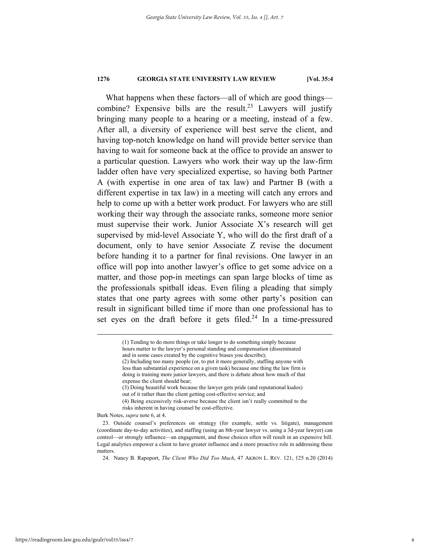What happens when these factors—all of which are good things combine? Expensive bills are the result.<sup>23</sup> Lawyers will justify bringing many people to a hearing or a meeting, instead of a few. After all, a diversity of experience will best serve the client, and having top-notch knowledge on hand will provide better service than having to wait for someone back at the office to provide an answer to a particular question. Lawyers who work their way up the law-firm ladder often have very specialized expertise, so having both Partner A (with expertise in one area of tax law) and Partner B (with a different expertise in tax law) in a meeting will catch any errors and help to come up with a better work product. For lawyers who are still working their way through the associate ranks, someone more senior must supervise their work. Junior Associate X's research will get supervised by mid-level Associate Y, who will do the first draft of a document, only to have senior Associate Z revise the document before handing it to a partner for final revisions. One lawyer in an office will pop into another lawyer's office to get some advice on a matter, and those pop-in meetings can span large blocks of time as the professionals spitball ideas. Even filing a pleading that simply states that one party agrees with some other party's position can result in significant billed time if more than one professional has to set eyes on the draft before it gets filed.<sup>24</sup> In a time-pressured

Burk Notes, *supra* note 6, at 4.

 <sup>(1)</sup> Tending to do more things or take longer to do something simply because hours matter to the lawyer's personal standing and compensation (disseminated and in some cases created by the cognitive biases you describe); (2) Including too many people (or, to put it more generally, staffing anyone with

less than substantial experience on a given task) because one thing the law firm is doing is training more junior lawyers, and there is debate about how much of that expense the client should bear;

<sup>(3)</sup> Doing beautiful work because the lawyer gets pride (and reputational kudos) out of it rather than the client getting cost-effective service; and

<sup>(4)</sup> Being excessively risk-averse because the client isn't really committed to the risks inherent in having counsel be cost-effective.

 <sup>23.</sup> Outside counsel's preferences on strategy (for example, settle vs. litigate), management (coordinate day-to-day activities), and staffing (using an 8th-year lawyer vs. using a 3d-year lawyer) can control—or strongly influence—an engagement, and those choices often will result in an expensive bill. Legal analytics empower a client to have greater influence and a more proactive role in addressing these matters.

 <sup>24.</sup> Nancy B. Rapoport, *The Client Who Did Too Much*, 47 AKRON L. REV. 121, 125 n.20 (2014)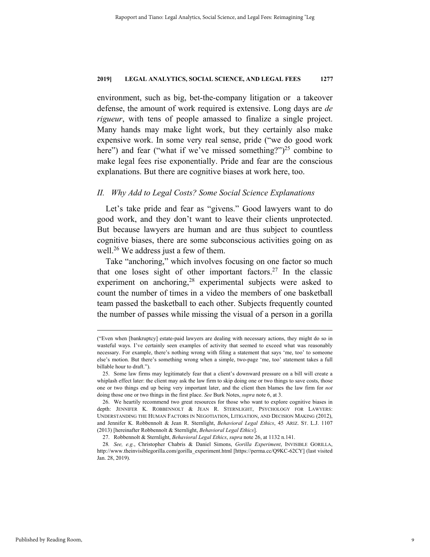environment, such as big, bet-the-company litigation or a takeover defense, the amount of work required is extensive. Long days are *de rigueur*, with tens of people amassed to finalize a single project. Many hands may make light work, but they certainly also make expensive work. In some very real sense, pride ("we do good work here") and fear ("what if we've missed something?")<sup>25</sup> combine to make legal fees rise exponentially. Pride and fear are the conscious explanations. But there are cognitive biases at work here, too.

# *II. Why Add to Legal Costs? Some Social Science Explanations*

Let's take pride and fear as "givens." Good lawyers want to do good work, and they don't want to leave their clients unprotected. But because lawyers are human and are thus subject to countless cognitive biases, there are some subconscious activities going on as well.<sup>26</sup> We address just a few of them.

Take "anchoring," which involves focusing on one factor so much that one loses sight of other important factors.<sup>27</sup> In the classic experiment on anchoring,  $28$  experimental subjects were asked to count the number of times in a video the members of one basketball team passed the basketball to each other. Subjects frequently counted the number of passes while missing the visual of a person in a gorilla

 <sup>(&</sup>quot;Even when [bankruptcy] estate-paid lawyers are dealing with necessary actions, they might do so in wasteful ways. I've certainly seen examples of activity that seemed to exceed what was reasonably necessary. For example, there's nothing wrong with filing a statement that says 'me, too' to someone else's motion. But there's something wrong when a simple, two-page 'me, too' statement takes a full billable hour to draft.").

 <sup>25.</sup> Some law firms may legitimately fear that a client's downward pressure on a bill will create a whiplash effect later: the client may ask the law firm to skip doing one or two things to save costs, those one or two things end up being very important later, and the client then blames the law firm for *not* doing those one or two things in the first place. *See* Burk Notes, *supra* note 6, at 3.

 <sup>26.</sup> We heartily recommend two great resources for those who want to explore cognitive biases in depth: JENNIFER K. ROBBENNOLT & JEAN R. STERNLIGHT, PSYCHOLOGY FOR LAWYERS: UNDERSTANDING THE HUMAN FACTORS IN NEGOTIATION, LITIGATION, AND DECISION MAKING (2012), and Jennifer K. Robbennolt & Jean R. Sternlight, *Behavioral Legal Ethics*, 45 ARIZ. ST. L.J. 1107 (2013) [hereinafter Robbennolt & Sternlight, *Behavioral Legal Ethics*].

 <sup>27.</sup> Robbennolt & Sternlight, *Behavioral Legal Ethics*, *supra* note 26, at 1132 n.141.

<sup>28</sup>*. See, e.g.*, Christopher Chabris & Daniel Simons, *Gorilla Experiment*, INVISIBLE GORILLA, http://www.theinvisiblegorilla.com/gorilla\_experiment.html [https://perma.cc/Q9KC-62CY] (last visited Jan. 28, 2019).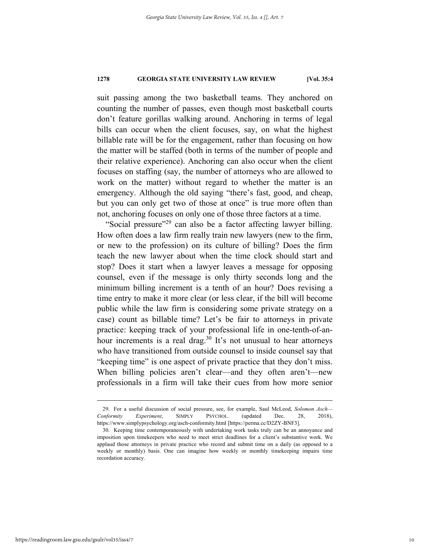suit passing among the two basketball teams. They anchored on counting the number of passes, even though most basketball courts don't feature gorillas walking around. Anchoring in terms of legal bills can occur when the client focuses, say, on what the highest billable rate will be for the engagement, rather than focusing on how the matter will be staffed (both in terms of the number of people and their relative experience). Anchoring can also occur when the client focuses on staffing (say, the number of attorneys who are allowed to work on the matter) without regard to whether the matter is an emergency. Although the old saying "there's fast, good, and cheap, but you can only get two of those at once" is true more often than not, anchoring focuses on only one of those three factors at a time.

"Social pressure"<sup>29</sup> can also be a factor affecting lawyer billing. How often does a law firm really train new lawyers (new to the firm, or new to the profession) on its culture of billing? Does the firm teach the new lawyer about when the time clock should start and stop? Does it start when a lawyer leaves a message for opposing counsel, even if the message is only thirty seconds long and the minimum billing increment is a tenth of an hour? Does revising a time entry to make it more clear (or less clear, if the bill will become public while the law firm is considering some private strategy on a case) count as billable time? Let's be fair to attorneys in private practice: keeping track of your professional life in one-tenth-of-anhour increments is a real drag.<sup>30</sup> It's not unusual to hear attorneys who have transitioned from outside counsel to inside counsel say that "keeping time" is one aspect of private practice that they don't miss. When billing policies aren't clear—and they often aren't—new professionals in a firm will take their cues from how more senior

 <sup>29.</sup> For a useful discussion of social pressure, see, for example, Saul McLeod, *Solomon Asch— Conformity Experiment*, SIMPLY PSYCHOL. (updated Dec. 28, 2018), https://www.simplypsychology.org/asch-conformity.html [https://perma.cc/D2ZY-BNF3].

 <sup>30.</sup> Keeping time contemporaneously with undertaking work tasks truly can be an annoyance and imposition upon timekeepers who need to meet strict deadlines for a client's substantive work. We applaud those attorneys in private practice who record and submit time on a daily (as opposed to a weekly or monthly) basis. One can imagine how weekly or monthly timekeeping impairs time recordation accuracy.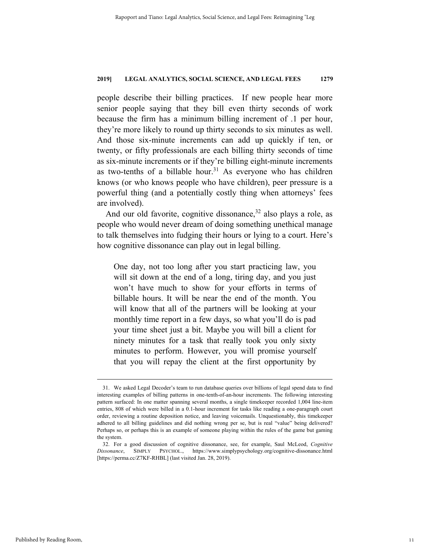people describe their billing practices. If new people hear more senior people saying that they bill even thirty seconds of work because the firm has a minimum billing increment of .1 per hour, they're more likely to round up thirty seconds to six minutes as well. And those six-minute increments can add up quickly if ten, or twenty, or fifty professionals are each billing thirty seconds of time as six-minute increments or if they're billing eight-minute increments as two-tenths of a billable hour.<sup>31</sup> As everyone who has children knows (or who knows people who have children), peer pressure is a powerful thing (and a potentially costly thing when attorneys' fees are involved).

And our old favorite, cognitive dissonance,<sup>32</sup> also plays a role, as people who would never dream of doing something unethical manage to talk themselves into fudging their hours or lying to a court. Here's how cognitive dissonance can play out in legal billing.

One day, not too long after you start practicing law, you will sit down at the end of a long, tiring day, and you just won't have much to show for your efforts in terms of billable hours. It will be near the end of the month. You will know that all of the partners will be looking at your monthly time report in a few days, so what you'll do is pad your time sheet just a bit. Maybe you will bill a client for ninety minutes for a task that really took you only sixty minutes to perform. However, you will promise yourself that you will repay the client at the first opportunity by

 <sup>31.</sup> We asked Legal Decoder's team to run database queries over billions of legal spend data to find interesting examples of billing patterns in one-tenth-of-an-hour increments. The following interesting pattern surfaced: In one matter spanning several months, a single timekeeper recorded 1,004 line-item entries, 808 of which were billed in a 0.1-hour increment for tasks like reading a one-paragraph court order, reviewing a routine deposition notice, and leaving voicemails. Unquestionably, this timekeeper adhered to all billing guidelines and did nothing wrong per se, but is real "value" being delivered? Perhaps so, or perhaps this is an example of someone playing within the rules of the game but gaming the system.

 <sup>32.</sup> For a good discussion of cognitive dissonance, see, for example, Saul McLeod, *Cognitive Dissonance*, SIMPLY PSYCHOL., https://www.simplypsychology.org/cognitive-dissonance.html [https://perma.cc/Z7KF-RHBL] (last visited Jan. 28, 2019).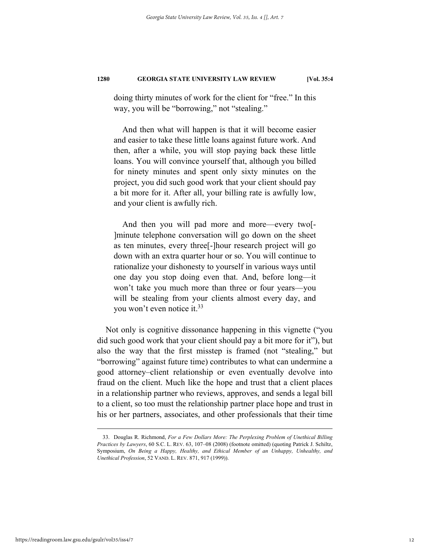doing thirty minutes of work for the client for "free." In this way, you will be "borrowing," not "stealing."

And then what will happen is that it will become easier and easier to take these little loans against future work. And then, after a while, you will stop paying back these little loans. You will convince yourself that, although you billed for ninety minutes and spent only sixty minutes on the project, you did such good work that your client should pay a bit more for it. After all, your billing rate is awfully low, and your client is awfully rich.

And then you will pad more and more—every two[- ]minute telephone conversation will go down on the sheet as ten minutes, every three[-]hour research project will go down with an extra quarter hour or so. You will continue to rationalize your dishonesty to yourself in various ways until one day you stop doing even that. And, before long—it won't take you much more than three or four years—you will be stealing from your clients almost every day, and you won't even notice it.<sup>33</sup>

Not only is cognitive dissonance happening in this vignette ("you did such good work that your client should pay a bit more for it"), but also the way that the first misstep is framed (not "stealing," but "borrowing" against future time) contributes to what can undermine a good attorney–client relationship or even eventually devolve into fraud on the client. Much like the hope and trust that a client places in a relationship partner who reviews, approves, and sends a legal bill to a client, so too must the relationship partner place hope and trust in his or her partners, associates, and other professionals that their time

 <sup>33.</sup> Douglas R. Richmond, *For a Few Dollars More: The Perplexing Problem of Unethical Billing Practices by Lawyers*, 60 S.C. L. REV. 63, 107–08 (2008) (footnote omitted) (quoting Patrick J. Schiltz, Symposium, *On Being a Happy, Healthy, and Ethical Member of an Unhappy, Unhealthy, and Unethical Profession*, 52 VAND. L. REV. 871, 917 (1999)).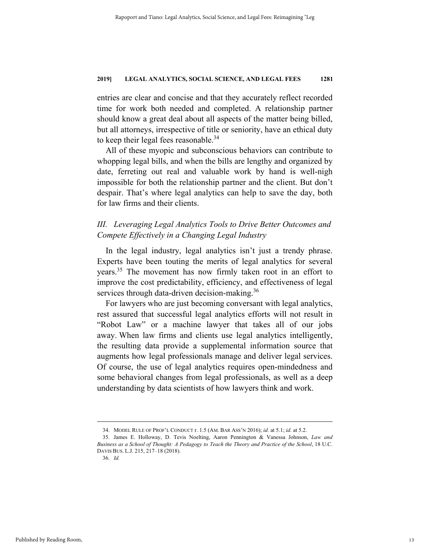entries are clear and concise and that they accurately reflect recorded time for work both needed and completed. A relationship partner should know a great deal about all aspects of the matter being billed, but all attorneys, irrespective of title or seniority, have an ethical duty to keep their legal fees reasonable.<sup>34</sup>

All of these myopic and subconscious behaviors can contribute to whopping legal bills, and when the bills are lengthy and organized by date, ferreting out real and valuable work by hand is well-nigh impossible for both the relationship partner and the client. But don't despair. That's where legal analytics can help to save the day, both for law firms and their clients.

# *III. Leveraging Legal Analytics Tools to Drive Better Outcomes and Compete Effectively in a Changing Legal Industry*

In the legal industry, legal analytics isn't just a trendy phrase. Experts have been touting the merits of legal analytics for several years.<sup>35</sup> The movement has now firmly taken root in an effort to improve the cost predictability, efficiency, and effectiveness of legal services through data-driven decision-making.<sup>36</sup>

For lawyers who are just becoming conversant with legal analytics, rest assured that successful legal analytics efforts will not result in "Robot Law" or a machine lawyer that takes all of our jobs away. When law firms and clients use legal analytics intelligently, the resulting data provide a supplemental information source that augments how legal professionals manage and deliver legal services. Of course, the use of legal analytics requires open-mindedness and some behavioral changes from legal professionals, as well as a deep understanding by data scientists of how lawyers think and work.

 <sup>34.</sup> MODEL RULE OF PROF'L CONDUCT r. 1.5 (AM. BAR ASS'N 2016); *id.* at 5.1; *id.* at 5.2.

 <sup>35.</sup> James E. Holloway, D. Tevis Noelting, Aaron Pennington & Vanessa Johnson, *Law and Business as a School of Thought: A Pedagogy to Teach the Theory and Practice of the School*, 18 U.C. DAVIS BUS. L.J. 215, 217–18 (2018).

 <sup>36.</sup> *Id.*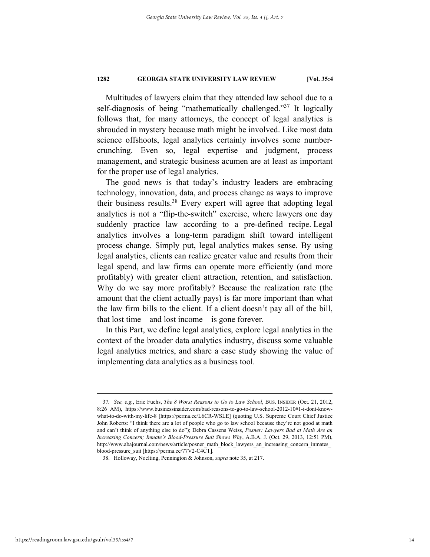Multitudes of lawyers claim that they attended law school due to a self-diagnosis of being "mathematically challenged."<sup>37</sup> It logically follows that, for many attorneys, the concept of legal analytics is shrouded in mystery because math might be involved. Like most data science offshoots, legal analytics certainly involves some numbercrunching. Even so, legal expertise and judgment, process management, and strategic business acumen are at least as important for the proper use of legal analytics.

The good news is that today's industry leaders are embracing technology, innovation, data, and process change as ways to improve their business results.38 Every expert will agree that adopting legal analytics is not a "flip-the-switch" exercise, where lawyers one day suddenly practice law according to a pre-defined recipe. Legal analytics involves a long-term paradigm shift toward intelligent process change. Simply put, legal analytics makes sense. By using legal analytics, clients can realize greater value and results from their legal spend, and law firms can operate more efficiently (and more profitably) with greater client attraction, retention, and satisfaction. Why do we say more profitably? Because the realization rate (the amount that the client actually pays) is far more important than what the law firm bills to the client. If a client doesn't pay all of the bill, that lost time—and lost income—is gone forever.

In this Part, we define legal analytics, explore legal analytics in the context of the broader data analytics industry, discuss some valuable legal analytics metrics, and share a case study showing the value of implementing data analytics as a business tool.

 <sup>37</sup>*. See, e.g.*, Eric Fuchs, *The 8 Worst Reasons to Go to Law School*, BUS. INSIDER (Oct. 21, 2012, 8:26 AM), https://www.businessinsider.com/bad-reasons-to-go-to-law-school-2012-10#1-i-dont-knowwhat-to-do-with-my-life-8 [https://perma.cc/L6CR-WSLE] (quoting U.S. Supreme Court Chief Justice John Roberts: "I think there are a lot of people who go to law school because they're not good at math and can't think of anything else to do"); Debra Cassens Weiss, *Posner: Lawyers Bad at Math Are an Increasing Concern; Inmate's Blood-Pressure Suit Shows Why*, A.B.A. J. (Oct. 29, 2013, 12:51 PM), http://www.abajournal.com/news/article/posner\_math\_block\_lawyers\_an\_increasing\_concern\_inmates\_ blood-pressure\_suit [https://perma.cc/77V2-C4CT].

 <sup>38.</sup> Holloway, Noelting, Pennington & Johnson, *supra* note 35, at 217.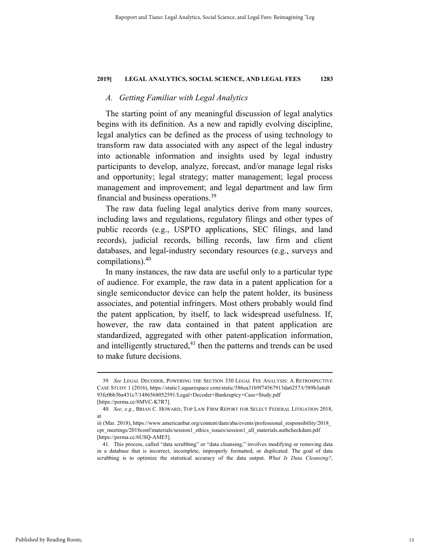## *A. Getting Familiar with Legal Analytics*

The starting point of any meaningful discussion of legal analytics begins with its definition. As a new and rapidly evolving discipline, legal analytics can be defined as the process of using technology to transform raw data associated with any aspect of the legal industry into actionable information and insights used by legal industry participants to develop, analyze, forecast, and/or manage legal risks and opportunity; legal strategy; matter management; legal process management and improvement; and legal department and law firm financial and business operations.39

The raw data fueling legal analytics derive from many sources, including laws and regulations, regulatory filings and other types of public records (e.g., USPTO applications, SEC filings, and land records), judicial records, billing records, law firm and client databases, and legal-industry secondary resources (e.g., surveys and compilations). $40$ 

In many instances, the raw data are useful only to a particular type of audience. For example, the raw data in a patent application for a single semiconductor device can help the patent holder, its business associates, and potential infringers. Most others probably would find the patent application, by itself, to lack widespread usefulness. If, however, the raw data contained in that patent application are standardized, aggregated with other patent-application information, and intelligently structured, $41$  then the patterns and trends can be used to make future decisions.

 <sup>39</sup>*. See* LEGAL DECODER, POWERING THE SECTION 330 LEGAL FEE ANALYSIS: <sup>A</sup> RETROSPECTIVE CASE STUDY 1 (2016), https://static1.squarespace.com/static/586ea31b9f74567913da6257/t/589b3a6d8 93fc0bb3ba431c7/1486568052591/Legal+Decoder+Bankruptcy+Case+Study.pdf

<sup>[</sup>https://perma.cc/8MVC-K7R7].

 <sup>40.</sup> *See, e.g.*, BRIAN C. HOWARD, TOP LAW FIRM REPORT FOR SELECT FEDERAL LITIGATION 2018, at

iii (Mar. 2018), https://www.americanbar.org/content/dam/aba/events/professional\_responsibility/2018 cpr\_meetings/2018conf/materials/session1\_ethics\_issues/session1\_all\_materials.authcheckdam.pdf [https://perma.cc/6USQ-AME5].

 <sup>41.</sup> This process, called "data scrubbing" or "data cleansing," involves modifying or removing data in a database that is incorrect, incomplete, improperly formatted, or duplicated. The goal of data scrubbing is to optimize the statistical accuracy of the data output. *What Is Data Cleansing?*,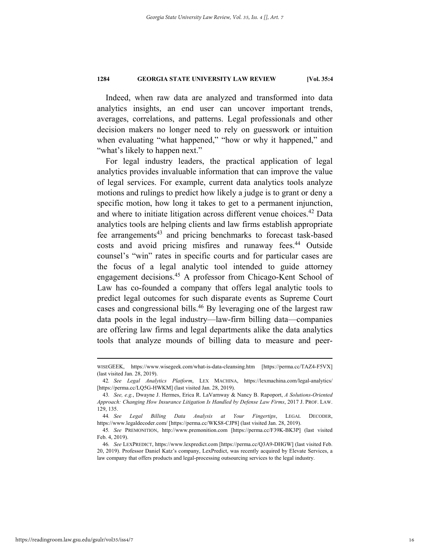Indeed, when raw data are analyzed and transformed into data analytics insights, an end user can uncover important trends, averages, correlations, and patterns. Legal professionals and other decision makers no longer need to rely on guesswork or intuition when evaluating "what happened," "how or why it happened," and "what's likely to happen next."

For legal industry leaders, the practical application of legal analytics provides invaluable information that can improve the value of legal services. For example, current data analytics tools analyze motions and rulings to predict how likely a judge is to grant or deny a specific motion, how long it takes to get to a permanent injunction, and where to initiate litigation across different venue choices. 42 Data analytics tools are helping clients and law firms establish appropriate fee arrangements<sup>43</sup> and pricing benchmarks to forecast task-based costs and avoid pricing misfires and runaway fees.<sup>44</sup> Outside counsel's "win" rates in specific courts and for particular cases are the focus of a legal analytic tool intended to guide attorney engagement decisions.45 A professor from Chicago-Kent School of Law has co-founded a company that offers legal analytic tools to predict legal outcomes for such disparate events as Supreme Court cases and congressional bills.<sup>46</sup> By leveraging one of the largest raw data pools in the legal industry—law-firm billing data—companies are offering law firms and legal departments alike the data analytics tools that analyze mounds of billing data to measure and peer-

WISEGEEK, https://www.wisegeek.com/what-is-data-cleansing.htm [https://perma.cc/TAZ4-F5VX] (last visited Jan. 28, 2019).

<sup>42</sup>*. See Legal Analytics Platform*, LEX MACHINA, https://lexmachina.com/legal-analytics/ [https://perma.cc/LQ5G-HWKM] (last visited Jan. 28, 2019).

<sup>43</sup>*. See, e.g.*, Dwayne J. Hermes, Erica R. LaVarnway & Nancy B. Rapoport, *A Solutions-Oriented Approach: Changing How Insurance Litigation Is Handled by Defense Law Firms*, 2017 J. PROF. LAW. 129, 135.

<sup>44</sup>*. See Legal Billing Data Analysis at Your Fingertips*, LEGAL DECODER, https://www.legaldecoder.com/ [https://perma.cc/WKS8-CJP8] (last visited Jan. 28, 2019).

<sup>45</sup>*. See* PREMONITION, http://www.premonition.com [https://perma.cc/F39K-BK3P] (last visited Feb. 4, 2019).

<sup>46</sup>*. See* LEXPREDICT, https://www.lexpredict.com [https://perma.cc/Q3A9-DHGW] (last visited Feb. 20, 2019). Professor Daniel Katz's company, LexPredict, was recently acquired by Elevate Services, a law company that offers products and legal-processing outsourcing services to the legal industry.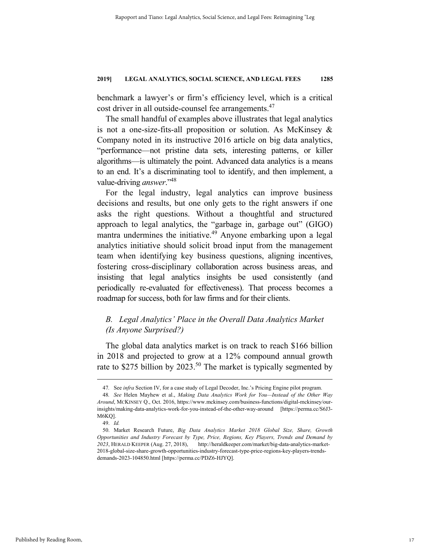benchmark a lawyer's or firm's efficiency level, which is a critical cost driver in all outside-counsel fee arrangements.<sup>47</sup>

The small handful of examples above illustrates that legal analytics is not a one-size-fits-all proposition or solution. As McKinsey & Company noted in its instructive 2016 article on big data analytics, "performance—not pristine data sets, interesting patterns, or killer algorithms—is ultimately the point. Advanced data analytics is a means to an end. It's a discriminating tool to identify, and then implement, a value-driving *answer*."48

For the legal industry, legal analytics can improve business decisions and results, but one only gets to the right answers if one asks the right questions. Without a thoughtful and structured approach to legal analytics, the "garbage in, garbage out" (GIGO) mantra undermines the initiative.<sup>49</sup> Anyone embarking upon a legal analytics initiative should solicit broad input from the management team when identifying key business questions, aligning incentives, fostering cross-disciplinary collaboration across business areas, and insisting that legal analytics insights be used consistently (and periodically re-evaluated for effectiveness). That process becomes a roadmap for success, both for law firms and for their clients.

# *B. Legal Analytics' Place in the Overall Data Analytics Market (Is Anyone Surprised?)*

The global data analytics market is on track to reach \$166 billion in 2018 and projected to grow at a 12% compound annual growth rate to \$275 billion by  $2023.^{50}$  The market is typically segmented by

 <sup>47</sup>*.* See *infra* Section IV, for a case study of Legal Decoder, Inc.'s Pricing Engine pilot program.

<sup>48</sup>*. See* Helen Mayhew et al., *Making Data Analytics Work for You—Instead of the Other Way Around*, MCKINSEY Q., Oct. 2016, https://www.mckinsey.com/business-functions/digital-mckinsey/ourinsights/making-data-analytics-work-for-you-instead-of-the-other-way-around [https://perma.cc/S6J3- M6KQ].

 <sup>49.</sup> *Id.*

 <sup>50.</sup> Market Research Future, *Big Data Analytics Market 2018 Global Size, Share, Growth Opportunities and Industry Forecast by Type, Price, Regions, Key Players, Trends and Demand by 2023*, HERALD KEEPER (Aug. 27, 2018), http://heraldkeeper.com/market/big-data-analytics-market-2018-global-size-share-growth-opportunities-industry-forecast-type-price-regions-key-players-trendsdemands-2023-104850.html [https://perma.cc/PDZ6-HJYQ].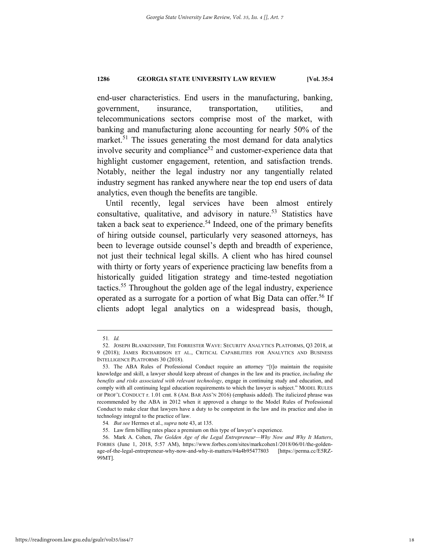end-user characteristics. End users in the manufacturing, banking, government, insurance, transportation, utilities, and telecommunications sectors comprise most of the market, with banking and manufacturing alone accounting for nearly 50% of the market.<sup>51</sup> The issues generating the most demand for data analytics involve security and compliance<sup>52</sup> and customer-experience data that highlight customer engagement, retention, and satisfaction trends. Notably, neither the legal industry nor any tangentially related industry segment has ranked anywhere near the top end users of data analytics, even though the benefits are tangible.

Until recently, legal services have been almost entirely consultative, qualitative, and advisory in nature.<sup>53</sup> Statistics have taken a back seat to experience.<sup>54</sup> Indeed, one of the primary benefits of hiring outside counsel, particularly very seasoned attorneys, has been to leverage outside counsel's depth and breadth of experience, not just their technical legal skills. A client who has hired counsel with thirty or forty years of experience practicing law benefits from a historically guided litigation strategy and time-tested negotiation tactics.<sup>55</sup> Throughout the golden age of the legal industry, experience operated as a surrogate for a portion of what Big Data can offer.<sup>56</sup> If clients adopt legal analytics on a widespread basis, though,

 <sup>51</sup>*. Id.*

 <sup>52.</sup> JOSEPH BLANKENSHIP, THE FORRESTER WAVE: SECURITY ANALYTICS PLATFORMS, Q3 2018, at 9 (2018); JAMES RICHARDSON ET AL., CRITICAL CAPABILITIES FOR ANALYTICS AND BUSINESS INTELLIGENCE PLATFORMS 30 (2018).

 <sup>53.</sup> The ABA Rules of Professional Conduct require an attorney "[t]o maintain the requisite knowledge and skill, a lawyer should keep abreast of changes in the law and its practice, *including the benefits and risks associated with relevant technology*, engage in continuing study and education, and comply with all continuing legal education requirements to which the lawyer is subject." MODEL RULES OF PROF'L CONDUCT r. 1.01 cmt. 8 (AM. BAR ASS'N 2016) (emphasis added). The italicized phrase was recommended by the ABA in 2012 when it approved a change to the Model Rules of Professional Conduct to make clear that lawyers have a duty to be competent in the law and its practice and also in technology integral to the practice of law.

<sup>54</sup>*. But see* Hermes et al., *supra* note 43, at 135.

 <sup>55.</sup> Law firm billing rates place a premium on this type of lawyer's experience.

 <sup>56.</sup> Mark A. Cohen, *The Golden Age of the Legal Entrepreneur—Why Now and Why It Matters*, FORBES (June 1, 2018, 5:57 AM), https://www.forbes.com/sites/markcohen1/2018/06/01/the-goldenage-of-the-legal-entrepreneur-why-now-and-why-it-matters/#4a4b95477803 [https://perma.cc/E5RZ-99MT].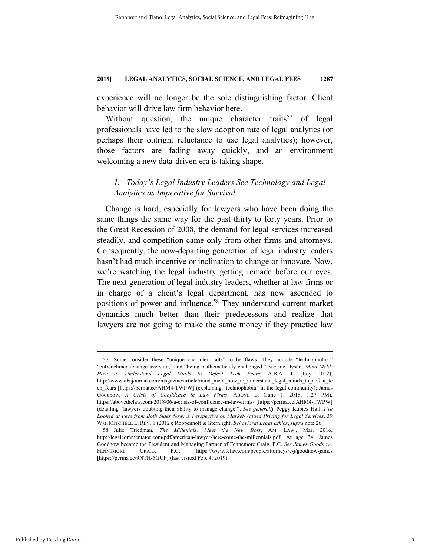experience will no longer be the sole distinguishing factor. Client behavior will drive law firm behavior here.

Without question, the unique character traits<sup>57</sup> of legal professionals have led to the slow adoption rate of legal analytics (or perhaps their outright reluctance to use legal analytics); however, those factors are fading away quickly, and an environment welcoming a new data-driven era is taking shape.

# *1. Today's Legal Industry Leaders See Technology and Legal Analytics as Imperative for Survival*

Change is hard, especially for lawyers who have been doing the same things the same way for the past thirty to forty years. Prior to the Great Recession of 2008, the demand for legal services increased steadily, and competition came only from other firms and attorneys. Consequently, the now-departing generation of legal industry leaders hasn't had much incentive or inclination to change or innovate. Now, we're watching the legal industry getting remade before our eyes. The next generation of legal industry leaders, whether at law firms or in charge of a client's legal department, has now ascended to positions of power and influence.58 They understand current market dynamics much better than their predecessors and realize that lawyers are not going to make the same money if they practice law

 <sup>57.</sup> Some consider these "unique character traits" to be flaws. They include "technophobia," "entrenchment/change aversion," and "being mathematically challenged." *See* Joe Dysart, *Mind Meld: How to Understand Legal Minds to Defeat Tech Fears*, A.B.A. J. (July 2012), http://www.abajournal.com/magazine/article/mind\_meld\_how\_to\_understand\_legal\_minds\_to\_defeat\_te ch fears [https://perma.cc/AHM4-TWPW] (explaining "technophobia" in the legal community); James Goodnow, *A Crisis of Confidence in Law Firms*, ABOVE L. (June 1, 2018, 1:27 PM), https://abovethelaw.com/2018/06/a-crisis-of-confidence-in-law-firms/ [https://perma.cc/AHM4-TWPW] (detailing "lawyers doubting their ability to manage change"). *See generally* Peggy Kubicz Hall, *I've Looked at Fees from Both Sides Now: A Perspective on Market-Valued Pricing for Legal Services*, 39 WM. MITCHELL L. REV. 1 (2012); Robbennolt & Sternlight, *Behavioral Legal Ethics*, *supra* note 26.

 <sup>58.</sup> Julie Triedman, *The Millenials: Meet the New Boss*, AM. LAW., Mar. 2016, http://legalcommentator.com/pdf/american-lawyer-here-come-the-millennials.pdf. At age 34, James Goodnow became the President and Managing Partner of Fennemore Craig, P.C. *See James Goodnow*, FENNEMORE CRAIG, P.C., https://www.fclaw.com/people/attorneys/e-j/goodnow-james [https://perma.cc/9NTH-5GUP] (last visited Feb. 4, 2019).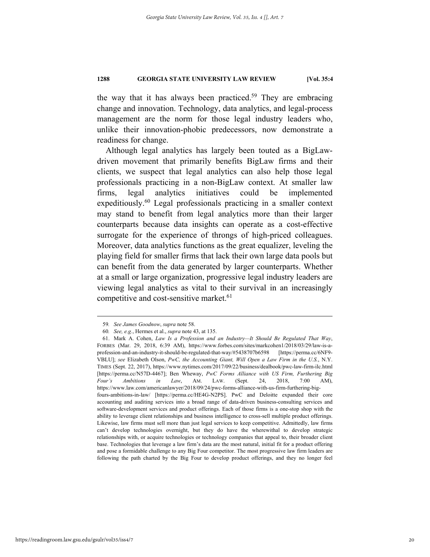the way that it has always been practiced.<sup>59</sup> They are embracing change and innovation. Technology, data analytics, and legal-process management are the norm for those legal industry leaders who, unlike their innovation-phobic predecessors, now demonstrate a readiness for change.

Although legal analytics has largely been touted as a BigLawdriven movement that primarily benefits BigLaw firms and their clients, we suspect that legal analytics can also help those legal professionals practicing in a non-BigLaw context. At smaller law firms, legal analytics initiatives could be implemented expeditiously.<sup>60</sup> Legal professionals practicing in a smaller context may stand to benefit from legal analytics more than their larger counterparts because data insights can operate as a cost-effective surrogate for the experience of throngs of high-priced colleagues. Moreover, data analytics functions as the great equalizer, leveling the playing field for smaller firms that lack their own large data pools but can benefit from the data generated by larger counterparts. Whether at a small or large organization, progressive legal industry leaders are viewing legal analytics as vital to their survival in an increasingly competitive and cost-sensitive market.<sup>61</sup>

 <sup>59</sup>*. See James Goodnow*, *supra* note 58.

<sup>60</sup>*. See, e.g.*, Hermes et al., *supra* note 43, at 135.

 <sup>61.</sup> Mark A. Cohen, *Law Is a Profession and an Industry—It Should Be Regulated That Way*, FORBES (Mar. 29, 2018, 6:39 AM), https://www.forbes.com/sites/markcohen1/2018/03/29/law-is-aprofession-and-an-industry-it-should-be-regulated-that-way/#5438707b6598 [https://perma.cc/6NF9- VBLU]; *see* Elizabeth Olson, *PwC, the Accounting Giant, Will Open a Law Firm in the U.S.*, N.Y. TIMES (Sept. 22, 2017), https://www.nytimes.com/2017/09/22/business/dealbook/pwc-law-firm-ilc.html [https://perma.cc/N57D-4467]; Ben Wheway, *PwC Forms Alliance with US Firm, Furthering Big Four's Ambitions in Law*, AM. LAW. (Sept. 24, 2018, 7:00 AM), https://www.law.com/americanlawyer/2018/09/24/pwc-forms-alliance-with-us-firm-furthering-bigfours-ambitions-in-law/ [https://perma.cc/HE4G-N2PS]. PwC and Deloitte expanded their core accounting and auditing services into a broad range of data-driven business-consulting services and software-development services and product offerings. Each of those firms is a one-stop shop with the ability to leverage client relationships and business intelligence to cross-sell multiple product offerings. Likewise, law firms must sell more than just legal services to keep competitive. Admittedly, law firms can't develop technologies overnight, but they do have the wherewithal to develop strategic relationships with, or acquire technologies or technology companies that appeal to, their broader client base. Technologies that leverage a law firm's data are the most natural, initial fit for a product offering and pose a formidable challenge to any Big Four competitor. The most progressive law firm leaders are following the path charted by the Big Four to develop product offerings, and they no longer feel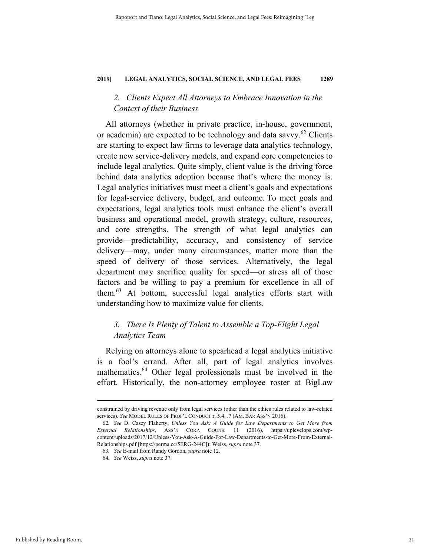# *2. Clients Expect All Attorneys to Embrace Innovation in the Context of their Business*

All attorneys (whether in private practice, in-house, government, or academia) are expected to be technology and data savvy.<sup>62</sup> Clients are starting to expect law firms to leverage data analytics technology, create new service-delivery models, and expand core competencies to include legal analytics. Quite simply, client value is the driving force behind data analytics adoption because that's where the money is. Legal analytics initiatives must meet a client's goals and expectations for legal-service delivery, budget, and outcome. To meet goals and expectations, legal analytics tools must enhance the client's overall business and operational model, growth strategy, culture, resources, and core strengths. The strength of what legal analytics can provide—predictability, accuracy, and consistency of service delivery—may, under many circumstances, matter more than the speed of delivery of those services. Alternatively, the legal department may sacrifice quality for speed—or stress all of those factors and be willing to pay a premium for excellence in all of them.63 At bottom, successful legal analytics efforts start with understanding how to maximize value for clients.

# *3. There Is Plenty of Talent to Assemble a Top-Flight Legal Analytics Team*

Relying on attorneys alone to spearhead a legal analytics initiative is a fool's errand. After all, part of legal analytics involves mathematics.<sup>64</sup> Other legal professionals must be involved in the effort. Historically, the non-attorney employee roster at BigLaw

constrained by driving revenue only from legal services (other than the ethics rules related to law-related services). *See* MODEL RULES OF PROF'L CONDUCT r. 5.4, .7 (AM. BAR ASS'N 2016).

<sup>62</sup>*. See* D. Casey Flaherty, *Unless You Ask: A Guide for Law Departments to Get More from External Relationships*, ASS'N CORP. COUNS. 11 (2016), https://uplevelops.com/wpcontent/uploads/2017/12/Unless-You-Ask-A-Guide-For-Law-Departments-to-Get-More-From-External-Relationships.pdf [https://perma.cc/5ERG-244C]**)**; Weiss, *supra* note 37.

<sup>63</sup>*. See* E-mail from Randy Gordon, *supra* note 12.

<sup>64</sup>*. See* Weiss, *supra* note 37.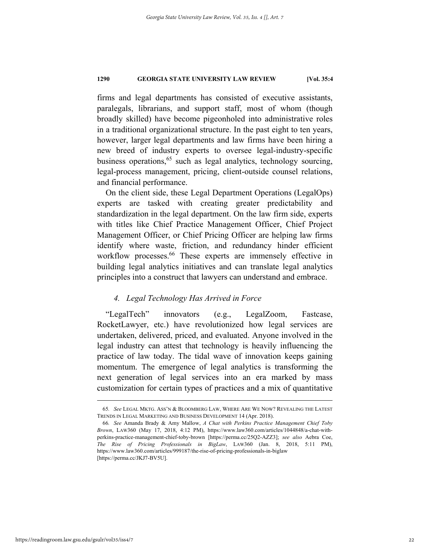firms and legal departments has consisted of executive assistants, paralegals, librarians, and support staff, most of whom (though broadly skilled) have become pigeonholed into administrative roles in a traditional organizational structure. In the past eight to ten years, however, larger legal departments and law firms have been hiring a new breed of industry experts to oversee legal-industry-specific business operations,  $65$  such as legal analytics, technology sourcing, legal-process management, pricing, client-outside counsel relations, and financial performance.

On the client side, these Legal Department Operations (LegalOps) experts are tasked with creating greater predictability and standardization in the legal department. On the law firm side, experts with titles like Chief Practice Management Officer, Chief Project Management Officer, or Chief Pricing Officer are helping law firms identify where waste, friction, and redundancy hinder efficient workflow processes.<sup>66</sup> These experts are immensely effective in building legal analytics initiatives and can translate legal analytics principles into a construct that lawyers can understand and embrace.

# *4. Legal Technology Has Arrived in Force*

"LegalTech" innovators (e.g., LegalZoom, Fastcase, RocketLawyer, etc.) have revolutionized how legal services are undertaken, delivered, priced, and evaluated. Anyone involved in the legal industry can attest that technology is heavily influencing the practice of law today. The tidal wave of innovation keeps gaining momentum. The emergence of legal analytics is transforming the next generation of legal services into an era marked by mass customization for certain types of practices and a mix of quantitative

 <sup>65</sup>*. See* LEGAL MKTG. ASS'N & BLOOMBERG LAW, WHERE ARE WE NOW? REVEALING THE LATEST TRENDS IN LEGAL MARKETING AND BUSINESS DEVELOPMENT 14 (Apr. 2018).

<sup>66</sup>*. See* Amanda Brady & Amy Mallow, *A Chat with Perkins Practice Management Chief Toby Brown*, LAW360 (May 17, 2018, 4:12 PM), https://www.law360.com/articles/1044848/a-chat-withperkins-practice-management-chief-toby-brown [https://perma.cc/25Q2-AZZ3]; *see also* Aebra Coe, *The Rise of Pricing Professionals in BigLaw*, LAW360 (Jan. 8, 2018, 5:11 PM), https://www.law360.com/articles/999187/the-rise-of-pricing-professionals-in-biglaw [https://perma.cc/JKJ7-BV5U].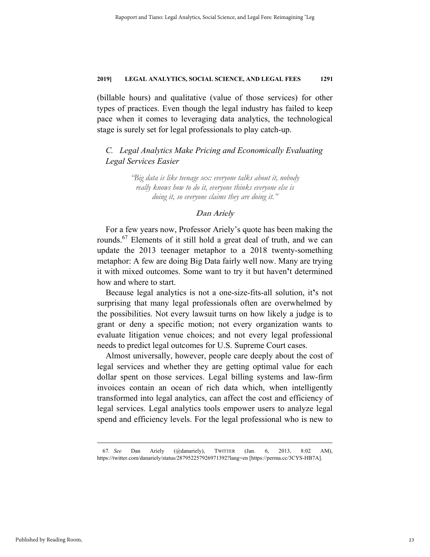(billable hours) and qualitative (value of those services) for other types of practices. Even though the legal industry has failed to keep pace when it comes to leveraging data analytics, the technological stage is surely set for legal professionals to play catch-up.

*C. Legal Analytics Make Pricing and Economically Evaluating Legal Services Easier*

> *"Big data is like teenage sex: everyone talks about it, nobody really knows how to do it, everyone thinks everyone else is doing it, so everyone claims they are doing it."*

# **Dan Ariely**

For a few years now, Professor Ariely's quote has been making the rounds.67 Elements of it still hold a great deal of truth, and we can update the 2013 teenager metaphor to a 2018 twenty-something metaphor: A few are doing Big Data fairly well now. Many are trying it with mixed outcomes. Some want to try it but haven**'**t determined how and where to start.

Because legal analytics is not a one-size-fits-all solution, it**'**s not surprising that many legal professionals often are overwhelmed by the possibilities. Not every lawsuit turns on how likely a judge is to grant or deny a specific motion; not every organization wants to evaluate litigation venue choices; and not every legal professional needs to predict legal outcomes for U.S. Supreme Court cases.

Almost universally, however, people care deeply about the cost of legal services and whether they are getting optimal value for each dollar spent on those services. Legal billing systems and law-firm invoices contain an ocean of rich data which, when intelligently transformed into legal analytics, can affect the cost and efficiency of legal services. Legal analytics tools empower users to analyze legal spend and efficiency levels. For the legal professional who is new to

 67*. See* Dan Ariely (@danariely), TWITTER (Jan. 6, 2013, 8:02 AM), https://twitter.com/danariely/status/287952257926971392?lang=en [https://perma.cc/3CYS-HB7A].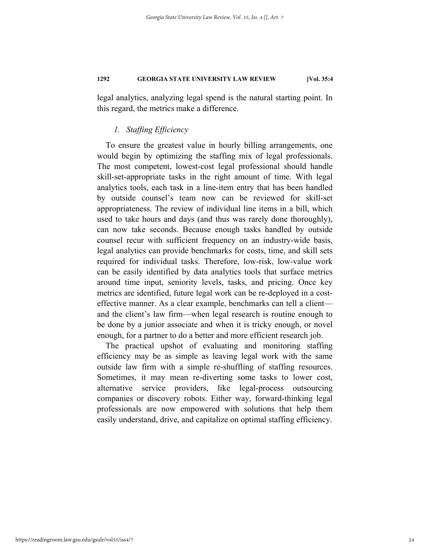legal analytics, analyzing legal spend is the natural starting point. In this regard, the metrics make a difference.

# *1. Staffing Efficiency*

To ensure the greatest value in hourly billing arrangements, one would begin by optimizing the staffing mix of legal professionals. The most competent, lowest-cost legal professional should handle skill-set-appropriate tasks in the right amount of time. With legal analytics tools, each task in a line-item entry that has been handled by outside counsel's team now can be reviewed for skill-set appropriateness. The review of individual line items in a bill, which used to take hours and days (and thus was rarely done thoroughly), can now take seconds. Because enough tasks handled by outside counsel recur with sufficient frequency on an industry-wide basis, legal analytics can provide benchmarks for costs, time, and skill sets required for individual tasks. Therefore, low-risk, low-value work can be easily identified by data analytics tools that surface metrics around time input, seniority levels, tasks, and pricing. Once key metrics are identified, future legal work can be re-deployed in a costeffective manner. As a clear example, benchmarks can tell a client and the client's law firm—when legal research is routine enough to be done by a junior associate and when it is tricky enough, or novel enough, for a partner to do a better and more efficient research job.

The practical upshot of evaluating and monitoring staffing efficiency may be as simple as leaving legal work with the same outside law firm with a simple re-shuffling of staffing resources. Sometimes, it may mean re-diverting some tasks to lower cost, alternative service providers, like legal-process outsourcing companies or discovery robots. Either way, forward-thinking legal professionals are now empowered with solutions that help them easily understand, drive, and capitalize on optimal staffing efficiency.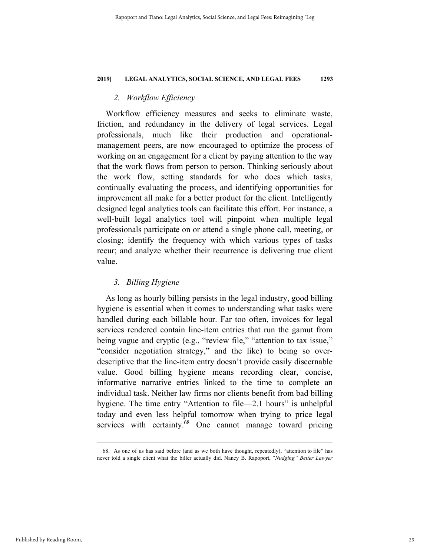# *2. Workflow Efficiency*

Workflow efficiency measures and seeks to eliminate waste, friction, and redundancy in the delivery of legal services. Legal professionals, much like their production and operationalmanagement peers, are now encouraged to optimize the process of working on an engagement for a client by paying attention to the way that the work flows from person to person. Thinking seriously about the work flow, setting standards for who does which tasks, continually evaluating the process, and identifying opportunities for improvement all make for a better product for the client. Intelligently designed legal analytics tools can facilitate this effort. For instance, a well-built legal analytics tool will pinpoint when multiple legal professionals participate on or attend a single phone call, meeting, or closing; identify the frequency with which various types of tasks recur; and analyze whether their recurrence is delivering true client value.

# *3. Billing Hygiene*

As long as hourly billing persists in the legal industry, good billing hygiene is essential when it comes to understanding what tasks were handled during each billable hour. Far too often, invoices for legal services rendered contain line-item entries that run the gamut from being vague and cryptic (e.g., "review file," "attention to tax issue," "consider negotiation strategy," and the like) to being so overdescriptive that the line-item entry doesn't provide easily discernable value. Good billing hygiene means recording clear, concise, informative narrative entries linked to the time to complete an individual task. Neither law firms nor clients benefit from bad billing hygiene. The time entry "Attention to file—2.1 hours" is unhelpful today and even less helpful tomorrow when trying to price legal services with certainty.<sup>68</sup> One cannot manage toward pricing

 <sup>68.</sup> As one of us has said before (and as we both have thought, repeatedly), "attention to file" has never told a single client what the biller actually did. Nancy B. Rapoport, *"Nudging" Better Lawyer*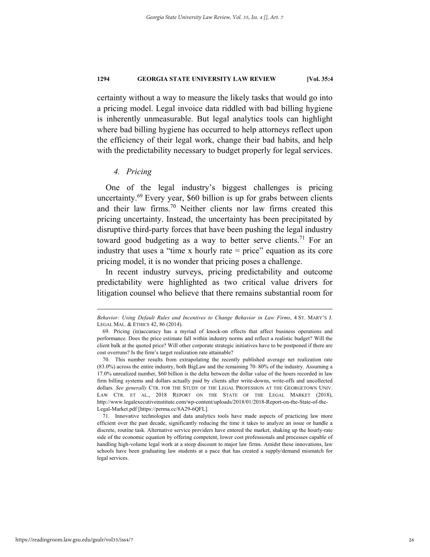certainty without a way to measure the likely tasks that would go into a pricing model. Legal invoice data riddled with bad billing hygiene is inherently unmeasurable. But legal analytics tools can highlight where bad billing hygiene has occurred to help attorneys reflect upon the efficiency of their legal work, change their bad habits, and help with the predictability necessary to budget properly for legal services.

# *4. Pricing*

1

One of the legal industry's biggest challenges is pricing uncertainty.<sup>69</sup> Every year, \$60 billion is up for grabs between clients and their law firms.70 Neither clients nor law firms created this pricing uncertainty. Instead, the uncertainty has been precipitated by disruptive third-party forces that have been pushing the legal industry toward good budgeting as a way to better serve clients.<sup>71</sup> For an industry that uses a "time x hourly rate  $=$  price" equation as its core pricing model, it is no wonder that pricing poses a challenge.

In recent industry surveys, pricing predictability and outcome predictability were highlighted as two critical value drivers for litigation counsel who believe that there remains substantial room for

*Behavior: Using Default Rules and Incentives to Change Behavior in Law Firms*, 4 ST. MARY'S J. LEGAL MAL. & ETHICS 42, 86 (2014).

 <sup>69.</sup> Pricing (in)accuracy has a myriad of knock-on effects that affect business operations and performance. Does the price estimate fall within industry norms and reflect a realistic budget? Will the client balk at the quoted price? Will other corporate strategic initiatives have to be postponed if there are cost overruns? Is the firm's target realization rate attainable?

 <sup>70.</sup> This number results from extrapolating the recently published average net realization rate (83.0%) across the entire industry, both BigLaw and the remaining 70–80% of the industry. Assuming a 17.0% unrealized number, \$60 billion is the delta between the dollar value of the hours recorded in law firm billing systems and dollars actually paid by clients after write-downs, write-offs and uncollected dollars. *See generally* CTR. FOR THE STUDY OF THE LEGAL PROFESSION AT THE GEORGETOWN UNIV. LAW CTR. ET AL., 2018 REPORT ON THE STATE OF THE LEGAL MARKET (2018), http://www.legalexecutiveinstitute.com/wp-content/uploads/2018/01/2018-Report-on-the-State-of-the-Legal-Market.pdf [https://perma.cc/8A29-6QFL].

 <sup>71.</sup> Innovative technologies and data analytics tools have made aspects of practicing law more efficient over the past decade, significantly reducing the time it takes to analyze an issue or handle a discrete, routine task. Alternative service providers have entered the market, shaking up the hourly-rate side of the economic equation by offering competent, lower cost professionals and processes capable of handling high-volume legal work at a steep discount to major law firms. Amidst these innovations, law schools have been graduating law students at a pace that has created a supply/demand mismatch for legal services.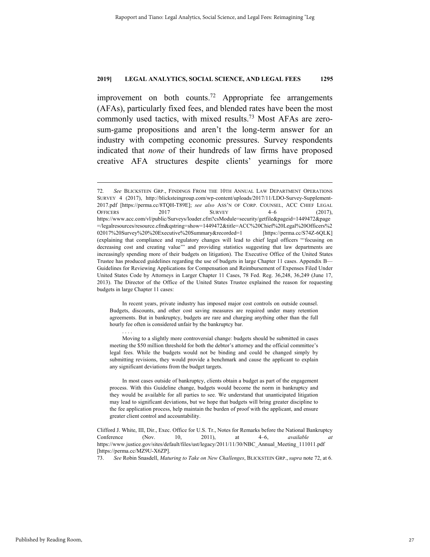improvement on both counts.<sup>72</sup> Appropriate fee arrangements (AFAs), particularly fixed fees, and blended rates have been the most commonly used tactics, with mixed results.<sup>73</sup> Most AFAs are zerosum-game propositions and aren't the long-term answer for an industry with competing economic pressures. Survey respondents indicated that *none* of their hundreds of law firms have proposed creative AFA structures despite clients' yearnings for more

 In recent years, private industry has imposed major cost controls on outside counsel. Budgets, discounts, and other cost saving measures are required under many retention agreements. But in bankruptcy, budgets are rare and charging anything other than the full hourly fee often is considered unfair by the bankruptcy bar.

. . . .

 Moving to a slightly more controversial change: budgets should be submitted in cases meeting the \$50 million threshold for both the debtor's attorney and the official committee's legal fees. While the budgets would not be binding and could be changed simply by submitting revisions, they would provide a benchmark and cause the applicant to explain any significant deviations from the budget targets.

 In most cases outside of bankruptcy, clients obtain a budget as part of the engagement process. With this Guideline change, budgets would become the norm in bankruptcy and they would be available for all parties to see. We understand that unanticipated litigation may lead to significant deviations, but we hope that budgets will bring greater discipline to the fee application process, help maintain the burden of proof with the applicant, and ensure greater client control and accountability.

73. *See* Robin Snasdell, *Maturing to Take on New Challenges*, BLICKSTEIN GRP., *supra* note 72, at 6.

 <sup>72</sup>*. See* BLICKSTEIN GRP., FINDINGS FROM THE 10TH ANNUAL LAW DEPARTMENT OPERATIONS SURVEY 4 (2017), http://blicksteingroup.com/wp-content/uploads/2017/11/LDO-Survey-Supplement-2017.pdf [https://perma.cc/8TQH-T89E]; *see also* ASS'N OF CORP. COUNSEL, ACC CHIEF LEGAL OFFICERS 2017 SURVEY 4–6 (2017), https://www.acc.com/vl/public/Surveys/loader.cfm?csModule=security/getfile&pageid=1449472&page =/legalresources/resource.cfm&qstring=show=1449472&title=ACC%20Chief%20Legal%20Officers%2 02017%20Survey%20%20Executive%20Summary&recorded=1 [https://perma.cc/S74Z-6QLK] (explaining that compliance and regulatory changes will lead to chief legal officers "'focusing on decreasing cost and creating value'" and providing statistics suggesting that law departments are increasingly spending more of their budgets on litigation). The Executive Office of the United States Trustee has produced guidelines regarding the use of budgets in large Chapter 11 cases. Appendix B— Guidelines for Reviewing Applications for Compensation and Reimbursement of Expenses Filed Under United States Code by Attorneys in Larger Chapter 11 Cases, 78 Fed. Reg. 36,248, 36,249 (June 17, 2013). The Director of the Office of the United States Trustee explained the reason for requesting budgets in large Chapter 11 cases:

Clifford J. White, III, Dir., Exec. Office for U.S. Tr., Notes for Remarks before the National Bankruptcy Conference (Nov. 10, 2011), at 4–6, *available at* https://www.justice.gov/sites/default/files/ust/legacy/2011/11/30/NBC\_Annual\_Meeting\_111011.pdf [https://perma.cc/MZ9U-X6ZP].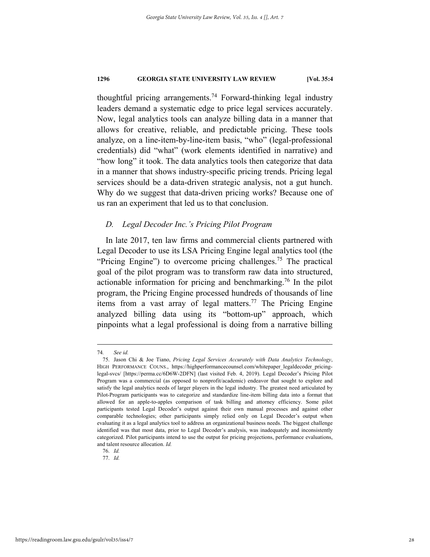thoughtful pricing arrangements.<sup>74</sup> Forward-thinking legal industry leaders demand a systematic edge to price legal services accurately. Now, legal analytics tools can analyze billing data in a manner that allows for creative, reliable, and predictable pricing. These tools analyze, on a line-item-by-line-item basis, "who" (legal-professional credentials) did "what" (work elements identified in narrative) and "how long" it took. The data analytics tools then categorize that data in a manner that shows industry-specific pricing trends. Pricing legal services should be a data-driven strategic analysis, not a gut hunch. Why do we suggest that data-driven pricing works? Because one of us ran an experiment that led us to that conclusion.

# *D. Legal Decoder Inc.'s Pricing Pilot Program*

In late 2017, ten law firms and commercial clients partnered with Legal Decoder to use its LSA Pricing Engine legal analytics tool (the "Pricing Engine") to overcome pricing challenges.<sup>75</sup> The practical goal of the pilot program was to transform raw data into structured, actionable information for pricing and benchmarking.<sup>76</sup> In the pilot program, the Pricing Engine processed hundreds of thousands of line items from a vast array of legal matters.<sup>77</sup> The Pricing Engine analyzed billing data using its "bottom-up" approach, which pinpoints what a legal professional is doing from a narrative billing

 <sup>74</sup>*. See id.*

 <sup>75.</sup> Jason Chi & Joe Tiano, *Pricing Legal Services Accurately with Data Analytics Technology*, HIGH PERFORMANCE COUNS., https://highperformancecounsel.com/whitepaper\_legaldecoder\_pricinglegal-svcs/ [https://perma.cc/6D6W-2DFN] (last visited Feb. 4, 2019). Legal Decoder's Pricing Pilot Program was a commercial (as opposed to nonprofit/academic) endeavor that sought to explore and satisfy the legal analytics needs of larger players in the legal industry. The greatest need articulated by Pilot-Program participants was to categorize and standardize line-item billing data into a format that allowed for an apple-to-apples comparison of task billing and attorney efficiency. Some pilot participants tested Legal Decoder's output against their own manual processes and against other comparable technologies; other participants simply relied only on Legal Decoder's output when evaluating it as a legal analytics tool to address an organizational business needs. The biggest challenge identified was that most data, prior to Legal Decoder's analysis, was inadequately and inconsistently categorized. Pilot participants intend to use the output for pricing projections, performance evaluations, and talent resource allocation. *Id.*

 <sup>76.</sup> *Id.*

 <sup>77.</sup> *Id.*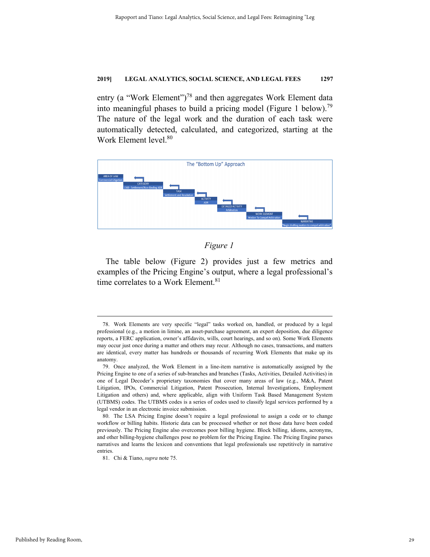entry (a "Work Element")<sup>78</sup> and then aggregates Work Element data into meaningful phases to build a pricing model (Figure 1 below).<sup>79</sup> The nature of the legal work and the duration of each task were automatically detected, calculated, and categorized, starting at the Work Element level.<sup>80</sup>



# *Figure 1*

The table below (Figure 2) provides just a few metrics and examples of the Pricing Engine's output, where a legal professional's time correlates to a Work Element.<sup>81</sup>

 <sup>78.</sup> Work Elements are very specific "legal" tasks worked on, handled, or produced by a legal professional (e.g., a motion in limine, an asset-purchase agreement, an expert deposition, due diligence reports, a FERC application, owner's affidavits, wills, court hearings, and so on). Some Work Elements may occur just once during a matter and others may recur. Although no cases, transactions, and matters are identical, every matter has hundreds or thousands of recurring Work Elements that make up its anatomy.

 <sup>79.</sup> Once analyzed, the Work Element in a line-item narrative is automatically assigned by the Pricing Engine to one of a series of sub-branches and branches (Tasks, Activities, Detailed Activities) in one of Legal Decoder's proprietary taxonomies that cover many areas of law (e.g., M&A, Patent Litigation, IPOs, Commercial Litigation, Patent Prosecution, Internal Investigations, Employment Litigation and others) and, where applicable, align with Uniform Task Based Management System (UTBMS) codes. The UTBMS codes is a series of codes used to classify legal services performed by a legal vendor in an electronic invoice submission.

 <sup>80.</sup> The LSA Pricing Engine doesn't require a legal professional to assign a code or to change workflow or billing habits. Historic data can be processed whether or not those data have been coded previously. The Pricing Engine also overcomes poor billing hygiene. Block billing, idioms, acronyms, and other billing-hygiene challenges pose no problem for the Pricing Engine. The Pricing Engine parses narratives and learns the lexicon and conventions that legal professionals use repetitively in narrative entries.

 <sup>81.</sup> Chi & Tiano, *supra* note 75.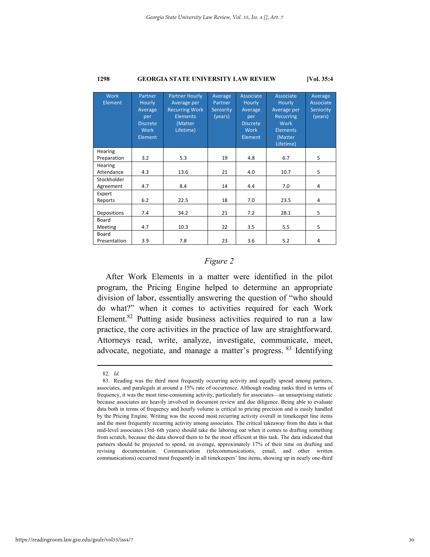| <b>Work</b><br>Element   | Partner<br>Hourly<br>Average<br>per<br><b>Discrete</b><br>Work<br>Element | <b>Partner Hourly</b><br>Average per<br><b>Recurring Work</b><br><b>Elements</b><br>(Matter<br>Lifetime) | Average<br>Partner<br>Seniority<br>(years) | Associate<br><b>Hourly</b><br>Average<br>per<br><b>Discrete</b><br>Work<br>Element | Associate<br>Hourly<br>Average per<br><b>Recurring</b><br>Work<br><b>Elements</b><br>(Matter<br>Lifetime) | Average<br>Associate<br>Seniority<br>(years) |
|--------------------------|---------------------------------------------------------------------------|----------------------------------------------------------------------------------------------------------|--------------------------------------------|------------------------------------------------------------------------------------|-----------------------------------------------------------------------------------------------------------|----------------------------------------------|
| Hearing<br>Preparation   | 3.2                                                                       | 5.3                                                                                                      | 19                                         | 4.8                                                                                | 6.7                                                                                                       | 5                                            |
| Hearing<br>Attendance    | 4.3                                                                       | 13.6                                                                                                     | 21                                         | 4.0                                                                                | 10.7                                                                                                      | 5                                            |
| Stockholder<br>Agreement | 4.7                                                                       | 8.4                                                                                                      | 14                                         | 4.4                                                                                | 7.0                                                                                                       | 4                                            |
| Expert<br>Reports        | 6.2                                                                       | 22.5                                                                                                     | 18                                         | 7.0                                                                                | 23.5                                                                                                      | 4                                            |
| Depositions              | 7.4                                                                       | 34.2                                                                                                     | 21                                         | 7.2                                                                                | 28.1                                                                                                      | 5                                            |
| Board<br>Meeting         | 4.7                                                                       | 10.3                                                                                                     | 22                                         | 3.5                                                                                | 5.5                                                                                                       | 5                                            |
| Board<br>Presentation    | 3.9                                                                       | 7.8                                                                                                      | 23                                         | 3.6                                                                                | 5.2                                                                                                       | 4                                            |

# *Figure 2*

After Work Elements in a matter were identified in the pilot program, the Pricing Engine helped to determine an appropriate division of labor, essentially answering the question of "who should do what?" when it comes to activities required for each Work Element.<sup>82</sup> Putting aside business activities required to run a law practice, the core activities in the practice of law are straightforward. Attorneys read, write, analyze, investigate, communicate, meet, advocate, negotiate, and manage a matter's progress. 83 Identifying

 <sup>82.</sup> *Id.* 

 <sup>83.</sup> Reading was the third most frequently occurring activity and equally spread among partners, associates, and paralegals at around a 15% rate of occurrence. Although reading ranks third in terms of frequency, it was the most time-consuming activity, particularly for associates—an unsurprising statistic because associates are heavily involved in document review and due diligence. Being able to evaluate data both in terms of frequency and hourly volume is critical to pricing precision and is easily handled by the Pricing Engine. Writing was the second most recurring activity overall in timekeeper line items and the most frequently recurring activity among associates. The critical takeaway from the data is that mid-level associates (3rd–6th years) should take the laboring oar when it comes to drafting something from scratch, because the data showed them to be the most efficient at this task. The data indicated that partners should be projected to spend, on average, approximately 17% of their time on drafting and revising documentation. Communication (telecommunications, email, and other written communications) occurred most frequently in all timekeepers' line items, showing up in nearly one-third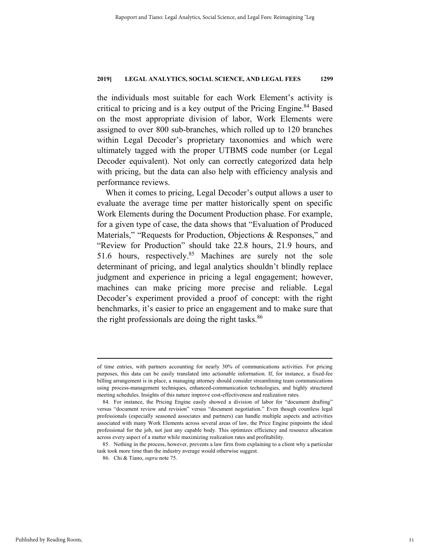the individuals most suitable for each Work Element's activity is critical to pricing and is a key output of the Pricing Engine.<sup>84</sup> Based on the most appropriate division of labor, Work Elements were assigned to over 800 sub-branches, which rolled up to 120 branches within Legal Decoder's proprietary taxonomies and which were ultimately tagged with the proper UTBMS code number (or Legal Decoder equivalent). Not only can correctly categorized data help with pricing, but the data can also help with efficiency analysis and performance reviews.

When it comes to pricing, Legal Decoder's output allows a user to evaluate the average time per matter historically spent on specific Work Elements during the Document Production phase. For example, for a given type of case, the data shows that "Evaluation of Produced Materials," "Requests for Production, Objections & Responses," and "Review for Production" should take 22.8 hours, 21.9 hours, and 51.6 hours, respectively.<sup>85</sup> Machines are surely not the sole determinant of pricing, and legal analytics shouldn't blindly replace judgment and experience in pricing a legal engagement; however, machines can make pricing more precise and reliable. Legal Decoder's experiment provided a proof of concept: with the right benchmarks, it's easier to price an engagement and to make sure that the right professionals are doing the right tasks.<sup>86</sup>

of time entries, with partners accounting for nearly 30% of communications activities. For pricing purposes, this data can be easily translated into actionable information. If, for instance, a fixed-fee billing arrangement is in place, a managing attorney should consider streamlining team communications using process-management techniques, enhanced-communication technologies, and highly structured meeting schedules. Insights of this nature improve cost-effectiveness and realization rates.

 <sup>84.</sup> For instance, the Pricing Engine easily showed a division of labor for "document drafting" versus "document review and revision" versus "document negotiation." Even though countless legal professionals (especially seasoned associates and partners) can handle multiple aspects and activities associated with many Work Elements across several areas of law, the Price Engine pinpoints the ideal professional for the job, not just any capable body. This optimizes efficiency and resource allocation across every aspect of a matter while maximizing realization rates and profitability.

 <sup>85.</sup> Nothing in the process, however, prevents a law firm from explaining to a client why a particular task took more time than the industry average would otherwise suggest.

 <sup>86.</sup> Chi & Tiano, *supra* note 75.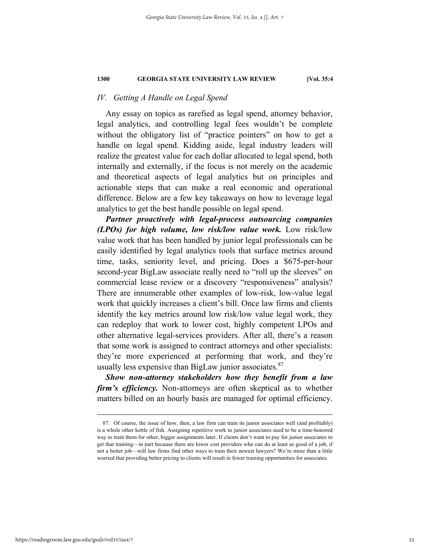# *IV. Getting A Handle on Legal Spend*

Any essay on topics as rarefied as legal spend, attorney behavior, legal analytics, and controlling legal fees wouldn't be complete without the obligatory list of "practice pointers" on how to get a handle on legal spend. Kidding aside, legal industry leaders will realize the greatest value for each dollar allocated to legal spend, both internally and externally, if the focus is not merely on the academic and theoretical aspects of legal analytics but on principles and actionable steps that can make a real economic and operational difference. Below are a few key takeaways on how to leverage legal analytics to get the best handle possible on legal spend.

*Partner proactively with legal-process outsourcing companies (LPOs) for high volume, low risk/low value work.* Low risk/low value work that has been handled by junior legal professionals can be easily identified by legal analytics tools that surface metrics around time, tasks, seniority level, and pricing. Does a \$675-per-hour second-year BigLaw associate really need to "roll up the sleeves" on commercial lease review or a discovery "responsiveness" analysis? There are innumerable other examples of low-risk, low-value legal work that quickly increases a client's bill. Once law firms and clients identify the key metrics around low risk/low value legal work, they can redeploy that work to lower cost, highly competent LPOs and other alternative legal-services providers. After all, there's a reason that some work is assigned to contract attorneys and other specialists: they're more experienced at performing that work, and they're usually less expensive than BigLaw junior associates. $87$ 

*Show non-attorney stakeholders how they benefit from a law firm's efficiency.* Non-attorneys are often skeptical as to whether matters billed on an hourly basis are managed for optimal efficiency.

 <sup>87.</sup> Of course, the issue of how, then, a law firm can train its junior associates well (and profitably) is a whole other kettle of fish. Assigning repetitive work to junior associates used to be a time-honored way to train them for other, bigger assignments later. If clients don't want to pay for junior associates to get that training—in part because there are lower cost providers who can do at least as good of a job, if not a better job—will law firms find other ways to train their newest lawyers? We're more than a little worried that providing better pricing to clients will result in fewer training opportunities for associates.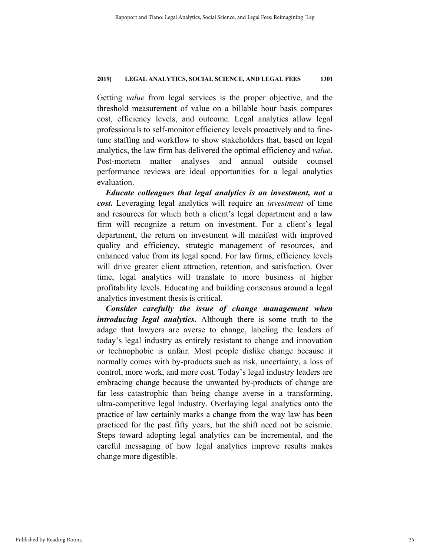Getting *value* from legal services is the proper objective, and the threshold measurement of value on a billable hour basis compares cost, efficiency levels, and outcome. Legal analytics allow legal professionals to self-monitor efficiency levels proactively and to finetune staffing and workflow to show stakeholders that, based on legal analytics, the law firm has delivered the optimal efficiency and *value*. Post-mortem matter analyses and annual outside counsel performance reviews are ideal opportunities for a legal analytics evaluation.

*Educate colleagues that legal analytics is an investment, not a cost***.** Leveraging legal analytics will require an *investment* of time and resources for which both a client's legal department and a law firm will recognize a return on investment. For a client's legal department, the return on investment will manifest with improved quality and efficiency, strategic management of resources, and enhanced value from its legal spend. For law firms, efficiency levels will drive greater client attraction, retention, and satisfaction. Over time, legal analytics will translate to more business at higher profitability levels. Educating and building consensus around a legal analytics investment thesis is critical.

*Consider carefully the issue of change management when introducing legal analytics***.** Although there is some truth to the adage that lawyers are averse to change, labeling the leaders of today's legal industry as entirely resistant to change and innovation or technophobic is unfair. Most people dislike change because it normally comes with by-products such as risk, uncertainty, a loss of control, more work, and more cost. Today's legal industry leaders are embracing change because the unwanted by-products of change are far less catastrophic than being change averse in a transforming, ultra-competitive legal industry. Overlaying legal analytics onto the practice of law certainly marks a change from the way law has been practiced for the past fifty years, but the shift need not be seismic. Steps toward adopting legal analytics can be incremental, and the careful messaging of how legal analytics improve results makes change more digestible.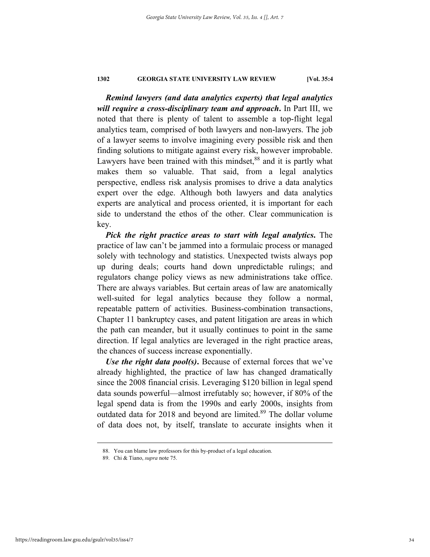*Remind lawyers (and data analytics experts) that legal analytics will require a cross-disciplinary team and approach***.** In Part III, we noted that there is plenty of talent to assemble a top-flight legal analytics team, comprised of both lawyers and non-lawyers. The job of a lawyer seems to involve imagining every possible risk and then finding solutions to mitigate against every risk, however improbable. Lawyers have been trained with this mindset, $88$  and it is partly what makes them so valuable. That said, from a legal analytics perspective, endless risk analysis promises to drive a data analytics expert over the edge. Although both lawyers and data analytics experts are analytical and process oriented, it is important for each side to understand the ethos of the other. Clear communication is key.

*Pick the right practice areas to start with legal analytics***.** The practice of law can't be jammed into a formulaic process or managed solely with technology and statistics. Unexpected twists always pop up during deals; courts hand down unpredictable rulings; and regulators change policy views as new administrations take office. There are always variables. But certain areas of law are anatomically well-suited for legal analytics because they follow a normal, repeatable pattern of activities. Business-combination transactions, Chapter 11 bankruptcy cases, and patent litigation are areas in which the path can meander, but it usually continues to point in the same direction. If legal analytics are leveraged in the right practice areas, the chances of success increase exponentially.

*Use the right data pool(s)***.** Because of external forces that we've already highlighted, the practice of law has changed dramatically since the 2008 financial crisis. Leveraging \$120 billion in legal spend data sounds powerful—almost irrefutably so; however, if 80% of the legal spend data is from the 1990s and early 2000s, insights from outdated data for 2018 and beyond are limited.<sup>89</sup> The dollar volume of data does not, by itself, translate to accurate insights when it

 <sup>88.</sup> You can blame law professors for this by-product of a legal education.

 <sup>89.</sup> Chi & Tiano, *supra* note 75.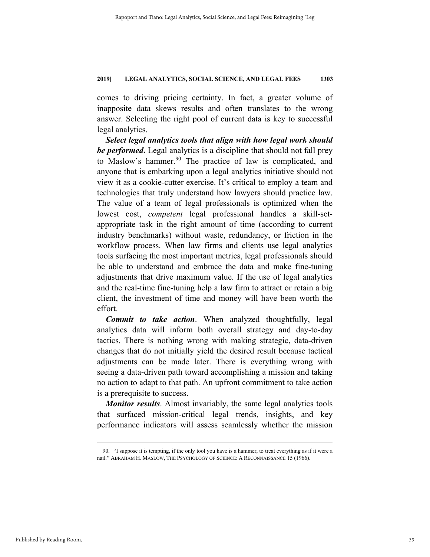comes to driving pricing certainty. In fact, a greater volume of inapposite data skews results and often translates to the wrong answer. Selecting the right pool of current data is key to successful legal analytics.

*Select legal analytics tools that align with how legal work should be performed***.** Legal analytics is a discipline that should not fall prey to Maslow's hammer.<sup>90</sup> The practice of law is complicated, and anyone that is embarking upon a legal analytics initiative should not view it as a cookie-cutter exercise. It's critical to employ a team and technologies that truly understand how lawyers should practice law. The value of a team of legal professionals is optimized when the lowest cost, *competent* legal professional handles a skill-setappropriate task in the right amount of time (according to current industry benchmarks) without waste, redundancy, or friction in the workflow process. When law firms and clients use legal analytics tools surfacing the most important metrics, legal professionals should be able to understand and embrace the data and make fine-tuning adjustments that drive maximum value. If the use of legal analytics and the real-time fine-tuning help a law firm to attract or retain a big client, the investment of time and money will have been worth the effort.

*Commit to take action*. When analyzed thoughtfully, legal analytics data will inform both overall strategy and day-to-day tactics. There is nothing wrong with making strategic, data-driven changes that do not initially yield the desired result because tactical adjustments can be made later. There is everything wrong with seeing a data-driven path toward accomplishing a mission and taking no action to adapt to that path. An upfront commitment to take action is a prerequisite to success.

*Monitor results*. Almost invariably, the same legal analytics tools that surfaced mission-critical legal trends, insights, and key performance indicators will assess seamlessly whether the mission

 <sup>90. &</sup>quot;I suppose it is tempting, if the only tool you have is a hammer, to treat everything as if it were a nail." ABRAHAM H. MASLOW, THE PSYCHOLOGY OF SCIENCE: A RECONNAISSANCE 15 (1966).